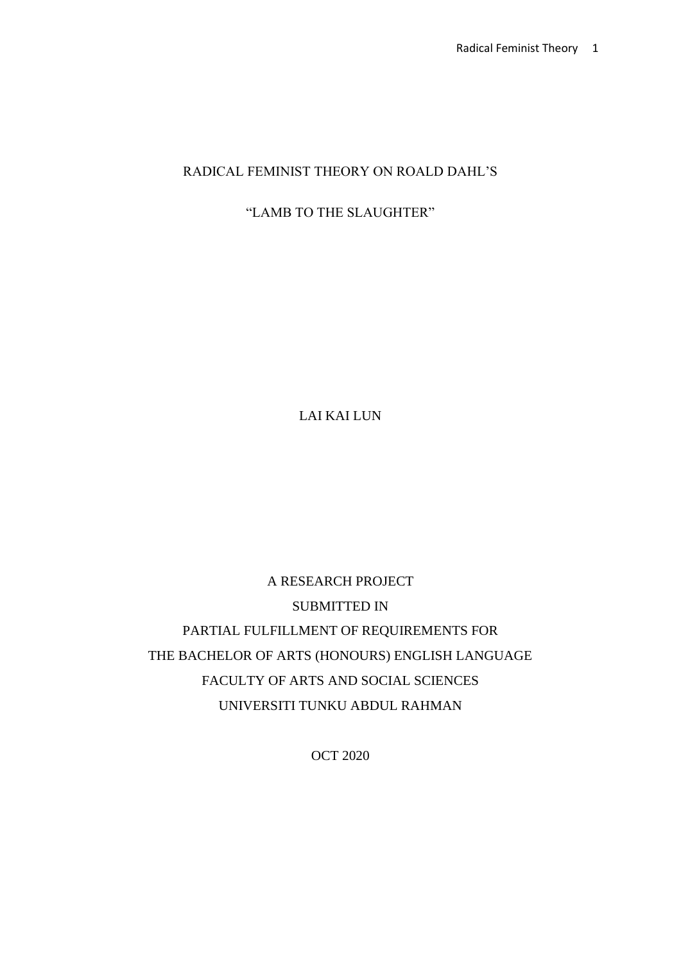# RADICAL FEMINIST THEORY ON ROALD DAHL'S

# "LAMB TO THE SLAUGHTER"

LAI KAI LUN

A RESEARCH PROJECT SUBMITTED IN PARTIAL FULFILLMENT OF REQUIREMENTS FOR THE BACHELOR OF ARTS (HONOURS) ENGLISH LANGUAGE FACULTY OF ARTS AND SOCIAL SCIENCES UNIVERSITI TUNKU ABDUL RAHMAN

OCT 2020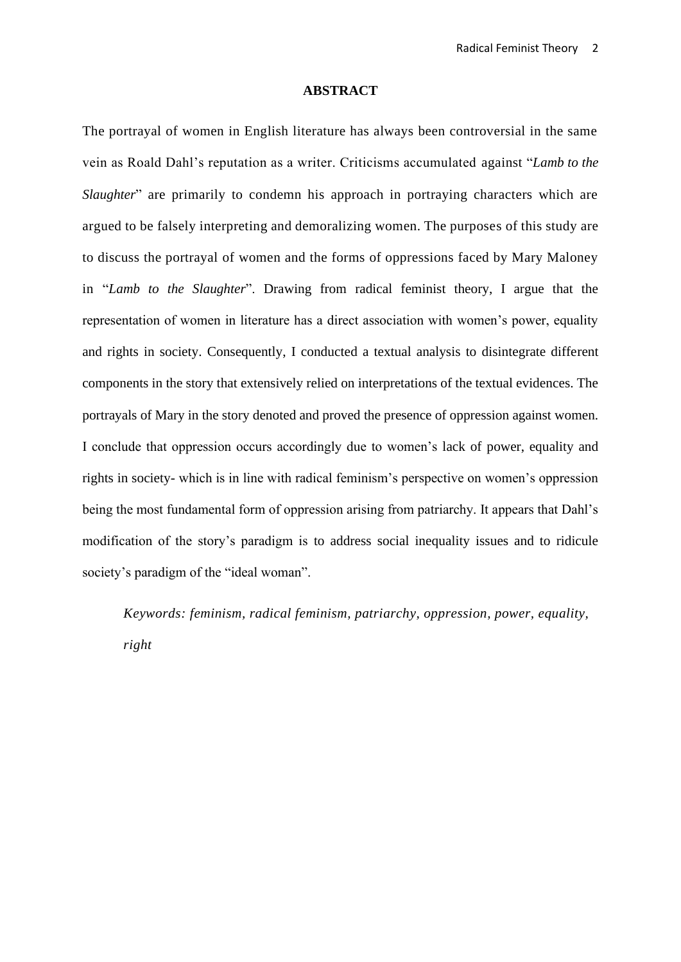#### **ABSTRACT**

The portrayal of women in English literature has always been controversial in the same vein as Roald Dahl's reputation as a writer. Criticisms accumulated against "*Lamb to the Slaughter*" are primarily to condemn his approach in portraying characters which are argued to be falsely interpreting and demoralizing women. The purposes of this study are to discuss the portrayal of women and the forms of oppressions faced by Mary Maloney in "*Lamb to the Slaughter*". Drawing from radical feminist theory, I argue that the representation of women in literature has a direct association with women's power, equality and rights in society. Consequently, I conducted a textual analysis to disintegrate different components in the story that extensively relied on interpretations of the textual evidences. The portrayals of Mary in the story denoted and proved the presence of oppression against women. I conclude that oppression occurs accordingly due to women's lack of power, equality and rights in society- which is in line with radical feminism's perspective on women's oppression being the most fundamental form of oppression arising from patriarchy. It appears that Dahl's modification of the story's paradigm is to address social inequality issues and to ridicule society's paradigm of the "ideal woman".

*Keywords: feminism, radical feminism, patriarchy, oppression, power, equality, right*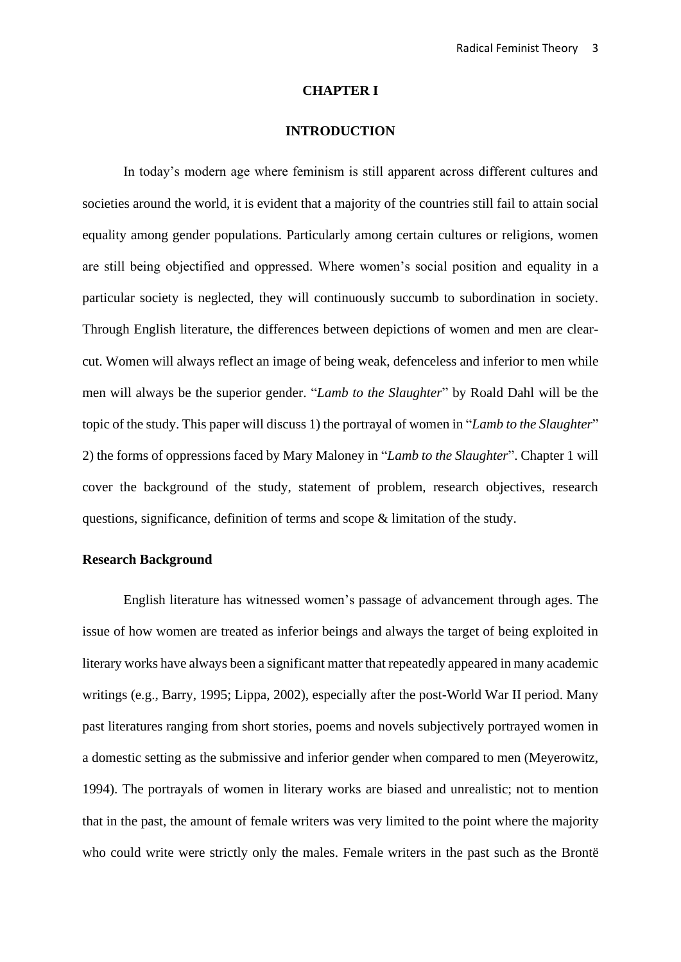#### **CHAPTER I**

# **INTRODUCTION**

In today's modern age where feminism is still apparent across different cultures and societies around the world, it is evident that a majority of the countries still fail to attain social equality among gender populations. Particularly among certain cultures or religions, women are still being objectified and oppressed. Where women's social position and equality in a particular society is neglected, they will continuously succumb to subordination in society. Through English literature, the differences between depictions of women and men are clearcut. Women will always reflect an image of being weak, defenceless and inferior to men while men will always be the superior gender. "*Lamb to the Slaughter*" by Roald Dahl will be the topic of the study. This paper will discuss 1) the portrayal of women in "*Lamb to the Slaughter*" 2) the forms of oppressions faced by Mary Maloney in "*Lamb to the Slaughter*". Chapter 1 will cover the background of the study, statement of problem, research objectives, research questions, significance, definition of terms and scope & limitation of the study.

# **Research Background**

English literature has witnessed women's passage of advancement through ages. The issue of how women are treated as inferior beings and always the target of being exploited in literary works have always been a significant matter that repeatedly appeared in many academic writings (e.g., Barry, 1995; Lippa, 2002), especially after the post-World War II period. Many past literatures ranging from short stories, poems and novels subjectively portrayed women in a domestic setting as the submissive and inferior gender when compared to men (Meyerowitz, 1994). The portrayals of women in literary works are biased and unrealistic; not to mention that in the past, the amount of female writers was very limited to the point where the majority who could write were strictly only the males. Female writers in the past such as the Brontë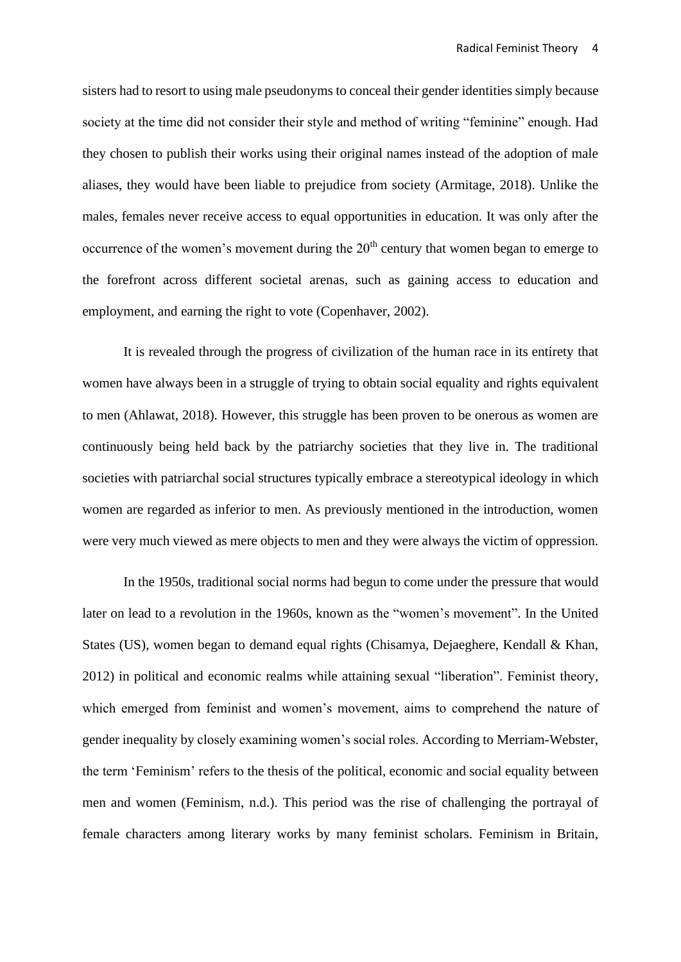sisters had to resort to using male pseudonyms to conceal their gender identities simply because society at the time did not consider their style and method of writing "feminine" enough. Had they chosen to publish their works using their original names instead of the adoption of male aliases, they would have been liable to prejudice from society (Armitage, 2018). Unlike the males, females never receive access to equal opportunities in education. It was only after the occurrence of the women's movement during the 20<sup>th</sup> century that women began to emerge to the forefront across different societal arenas, such as gaining access to education and employment, and earning the right to vote (Copenhaver, 2002).

It is revealed through the progress of civilization of the human race in its entirety that women have always been in a struggle of trying to obtain social equality and rights equivalent to men (Ahlawat, 2018). However, this struggle has been proven to be onerous as women are continuously being held back by the patriarchy societies that they live in. The traditional societies with patriarchal social structures typically embrace a stereotypical ideology in which women are regarded as inferior to men. As previously mentioned in the introduction, women were very much viewed as mere objects to men and they were always the victim of oppression.

In the 1950s, traditional social norms had begun to come under the pressure that would later on lead to a revolution in the 1960s, known as the "women's movement". In the United States (US), women began to demand equal rights (Chisamya, Dejaeghere, Kendall & Khan, 2012) in political and economic realms while attaining sexual "liberation". Feminist theory, which emerged from feminist and women's movement, aims to comprehend the nature of gender inequality by closely examining women's social roles. According to Merriam-Webster, the term 'Feminism' refers to the thesis of the political, economic and social equality between men and women (Feminism, n.d.). This period was the rise of challenging the portrayal of female characters among literary works by many feminist scholars. Feminism in Britain,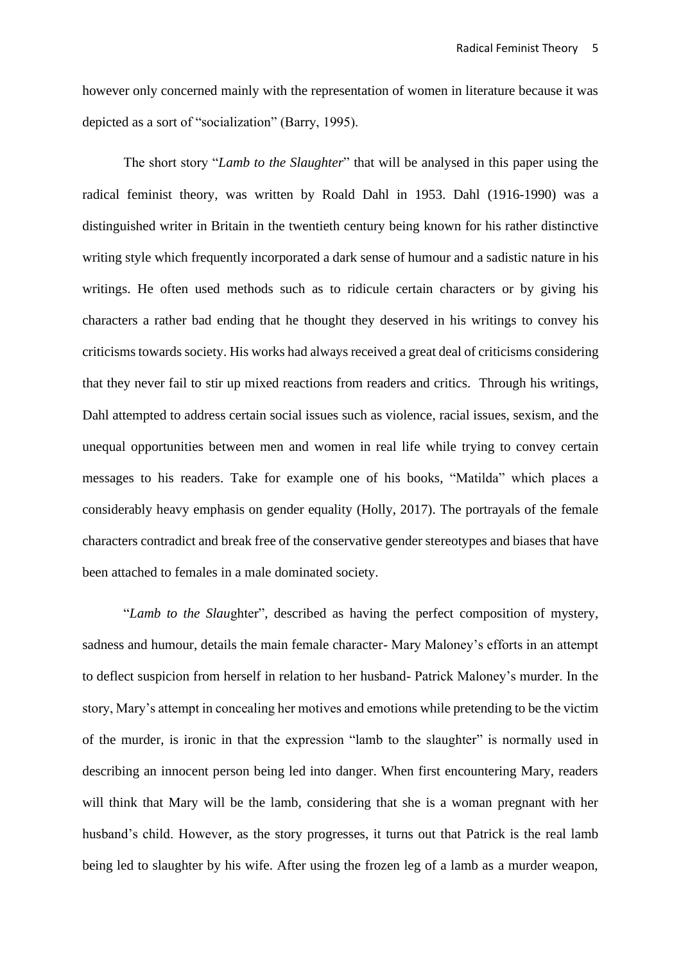however only concerned mainly with the representation of women in literature because it was depicted as a sort of "socialization" (Barry, 1995).

The short story "*Lamb to the Slaughter*" that will be analysed in this paper using the radical feminist theory, was written by Roald Dahl in 1953. Dahl (1916-1990) was a distinguished writer in Britain in the twentieth century being known for his rather distinctive writing style which frequently incorporated a dark sense of humour and a sadistic nature in his writings. He often used methods such as to ridicule certain characters or by giving his characters a rather bad ending that he thought they deserved in his writings to convey his criticisms towards society. His works had always received a great deal of criticisms considering that they never fail to stir up mixed reactions from readers and critics. Through his writings, Dahl attempted to address certain social issues such as violence, racial issues, sexism, and the unequal opportunities between men and women in real life while trying to convey certain messages to his readers. Take for example one of his books, "Matilda" which places a considerably heavy emphasis on gender equality (Holly, 2017). The portrayals of the female characters contradict and break free of the conservative gender stereotypes and biases that have been attached to females in a male dominated society.

"*Lamb to the Slau*ghter", described as having the perfect composition of mystery, sadness and humour, details the main female character- Mary Maloney's efforts in an attempt to deflect suspicion from herself in relation to her husband- Patrick Maloney's murder. In the story, Mary's attempt in concealing her motives and emotions while pretending to be the victim of the murder, is ironic in that the expression "lamb to the slaughter" is normally used in describing an innocent person being led into danger. When first encountering Mary, readers will think that Mary will be the lamb, considering that she is a woman pregnant with her husband's child. However, as the story progresses, it turns out that Patrick is the real lamb being led to slaughter by his wife. After using the frozen leg of a lamb as a murder weapon,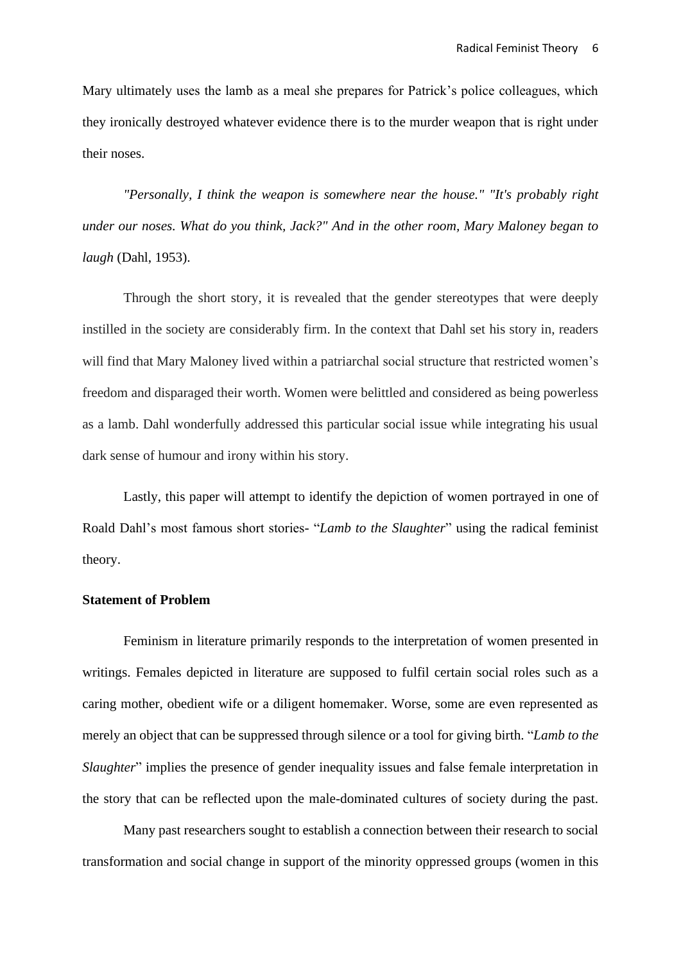Mary ultimately uses the lamb as a meal she prepares for Patrick's police colleagues, which they ironically destroyed whatever evidence there is to the murder weapon that is right under their noses.

*"Personally, I think the weapon is somewhere near the house." "It's probably right under our noses. What do you think, Jack?" And in the other room, Mary Maloney began to laugh* (Dahl, 1953).

Through the short story, it is revealed that the gender stereotypes that were deeply instilled in the society are considerably firm. In the context that Dahl set his story in, readers will find that Mary Maloney lived within a patriarchal social structure that restricted women's freedom and disparaged their worth. Women were belittled and considered as being powerless as a lamb. Dahl wonderfully addressed this particular social issue while integrating his usual dark sense of humour and irony within his story.

Lastly, this paper will attempt to identify the depiction of women portrayed in one of Roald Dahl's most famous short stories- "*Lamb to the Slaughter*" using the radical feminist theory.

### **Statement of Problem**

Feminism in literature primarily responds to the interpretation of women presented in writings. Females depicted in literature are supposed to fulfil certain social roles such as a caring mother, obedient wife or a diligent homemaker. Worse, some are even represented as merely an object that can be suppressed through silence or a tool for giving birth. "*Lamb to the Slaughter*" implies the presence of gender inequality issues and false female interpretation in the story that can be reflected upon the male-dominated cultures of society during the past.

Many past researchers sought to establish a connection between their research to social transformation and social change in support of the minority oppressed groups (women in this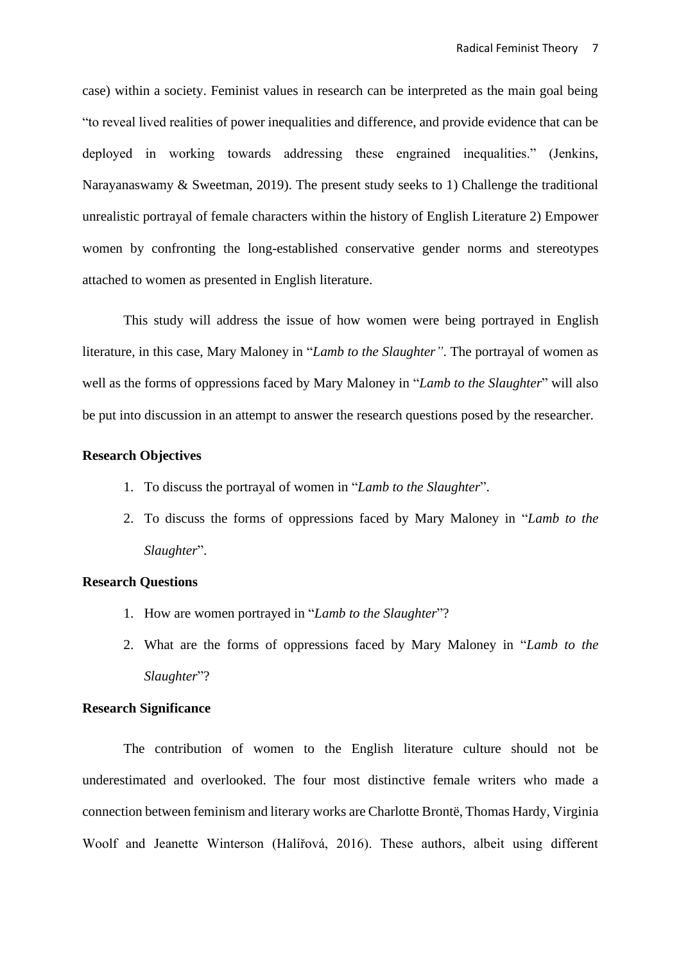case) within a society. Feminist values in research can be interpreted as the main goal being "to reveal lived realities of power inequalities and difference, and provide evidence that can be deployed in working towards addressing these engrained inequalities." (Jenkins, Narayanaswamy & Sweetman, 2019). The present study seeks to 1) Challenge the traditional unrealistic portrayal of female characters within the history of English Literature 2) Empower women by confronting the long-established conservative gender norms and stereotypes attached to women as presented in English literature.

This study will address the issue of how women were being portrayed in English literature, in this case, Mary Maloney in "*Lamb to the Slaughter"*. The portrayal of women as well as the forms of oppressions faced by Mary Maloney in "*Lamb to the Slaughter*" will also be put into discussion in an attempt to answer the research questions posed by the researcher.

### **Research Objectives**

- 1. To discuss the portrayal of women in "*Lamb to the Slaughter*".
- 2. To discuss the forms of oppressions faced by Mary Maloney in "*Lamb to the Slaughter*".

# **Research Questions**

- 1. How are women portrayed in "*Lamb to the Slaughter*"?
- 2. What are the forms of oppressions faced by Mary Maloney in "*Lamb to the Slaughter*"?

# **Research Significance**

The contribution of women to the English literature culture should not be underestimated and overlooked. The four most distinctive female writers who made a connection between feminism and literary works are Charlotte Brontë, Thomas Hardy, Virginia Woolf and Jeanette Winterson (Halířová, 2016). These authors, albeit using different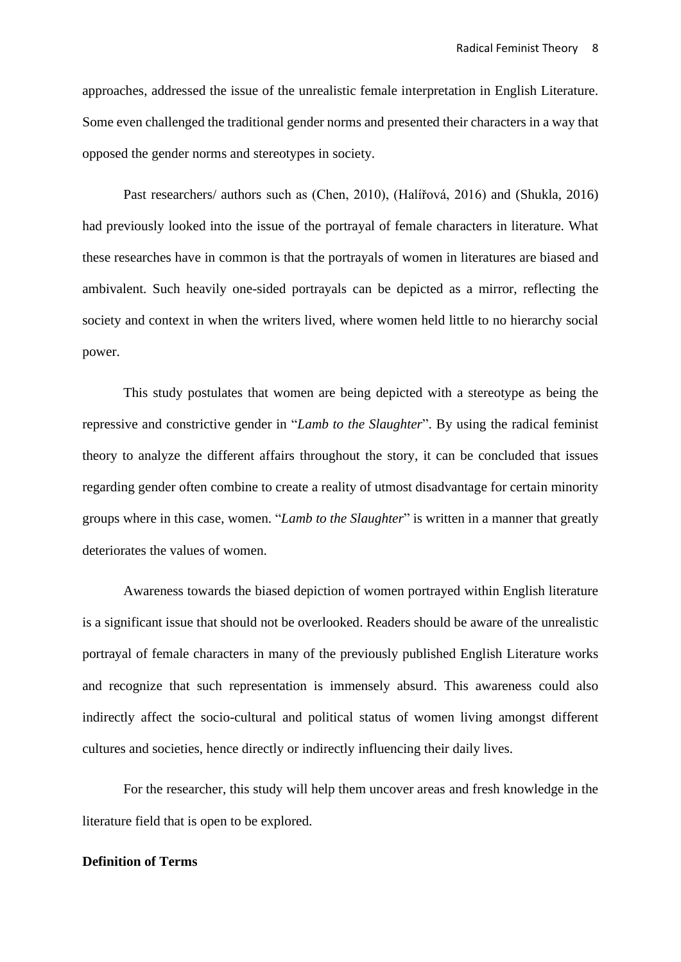approaches, addressed the issue of the unrealistic female interpretation in English Literature. Some even challenged the traditional gender norms and presented their characters in a way that opposed the gender norms and stereotypes in society.

Past researchers/ authors such as (Chen, 2010), (Halířová, 2016) and (Shukla, 2016) had previously looked into the issue of the portrayal of female characters in literature. What these researches have in common is that the portrayals of women in literatures are biased and ambivalent. Such heavily one-sided portrayals can be depicted as a mirror, reflecting the society and context in when the writers lived, where women held little to no hierarchy social power.

This study postulates that women are being depicted with a stereotype as being the repressive and constrictive gender in "*Lamb to the Slaughter*". By using the radical feminist theory to analyze the different affairs throughout the story, it can be concluded that issues regarding gender often combine to create a reality of utmost disadvantage for certain minority groups where in this case, women. "*Lamb to the Slaughter*" is written in a manner that greatly deteriorates the values of women.

Awareness towards the biased depiction of women portrayed within English literature is a significant issue that should not be overlooked. Readers should be aware of the unrealistic portrayal of female characters in many of the previously published English Literature works and recognize that such representation is immensely absurd. This awareness could also indirectly affect the socio-cultural and political status of women living amongst different cultures and societies, hence directly or indirectly influencing their daily lives.

For the researcher, this study will help them uncover areas and fresh knowledge in the literature field that is open to be explored.

# **Definition of Terms**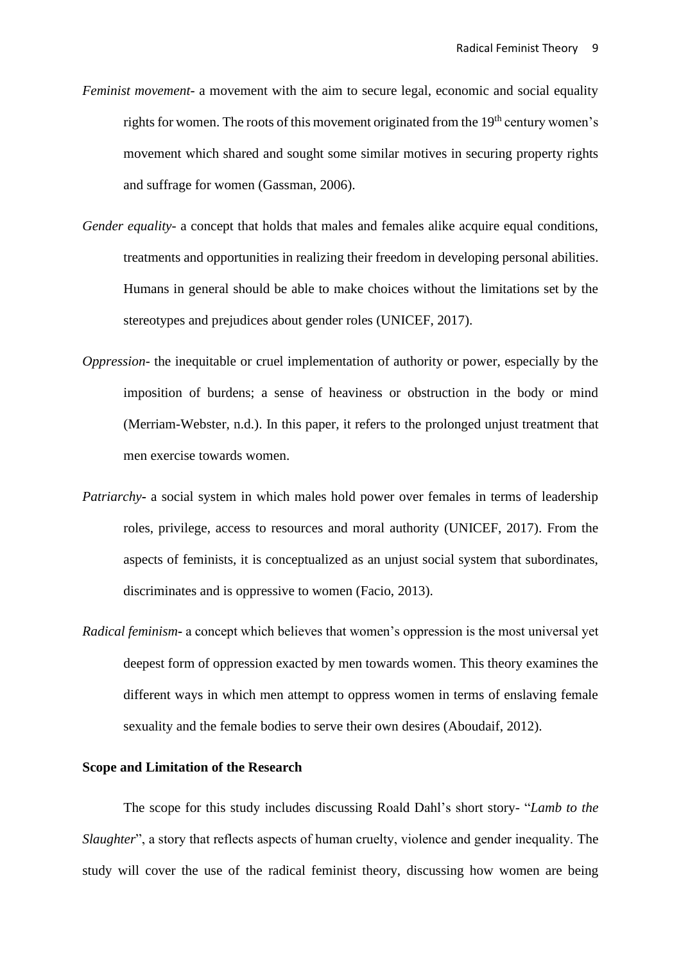- *Feminist movement* a movement with the aim to secure legal, economic and social equality rights for women. The roots of this movement originated from the  $19<sup>th</sup>$  century women's movement which shared and sought some similar motives in securing property rights and suffrage for women (Gassman, 2006).
- *Gender equality* a concept that holds that males and females alike acquire equal conditions, treatments and opportunities in realizing their freedom in developing personal abilities. Humans in general should be able to make choices without the limitations set by the stereotypes and prejudices about gender roles (UNICEF, 2017).
- *Oppression* the inequitable or cruel implementation of authority or power, especially by the imposition of burdens; a sense of heaviness or obstruction in the body or mind (Merriam-Webster, n.d.). In this paper, it refers to the prolonged unjust treatment that men exercise towards women.
- *Patriarchy***-** a social system in which males hold power over females in terms of leadership roles, privilege, access to resources and moral authority (UNICEF, 2017). From the aspects of feminists, it is conceptualized as an unjust social system that subordinates, discriminates and is oppressive to women (Facio, 2013).
- *Radical feminism***-** a concept which believes that women's oppression is the most universal yet deepest form of oppression exacted by men towards women. This theory examines the different ways in which men attempt to oppress women in terms of enslaving female sexuality and the female bodies to serve their own desires (Aboudaif, 2012).

### **Scope and Limitation of the Research**

The scope for this study includes discussing Roald Dahl's short story- "*Lamb to the Slaughter*", a story that reflects aspects of human cruelty, violence and gender inequality. The study will cover the use of the radical feminist theory, discussing how women are being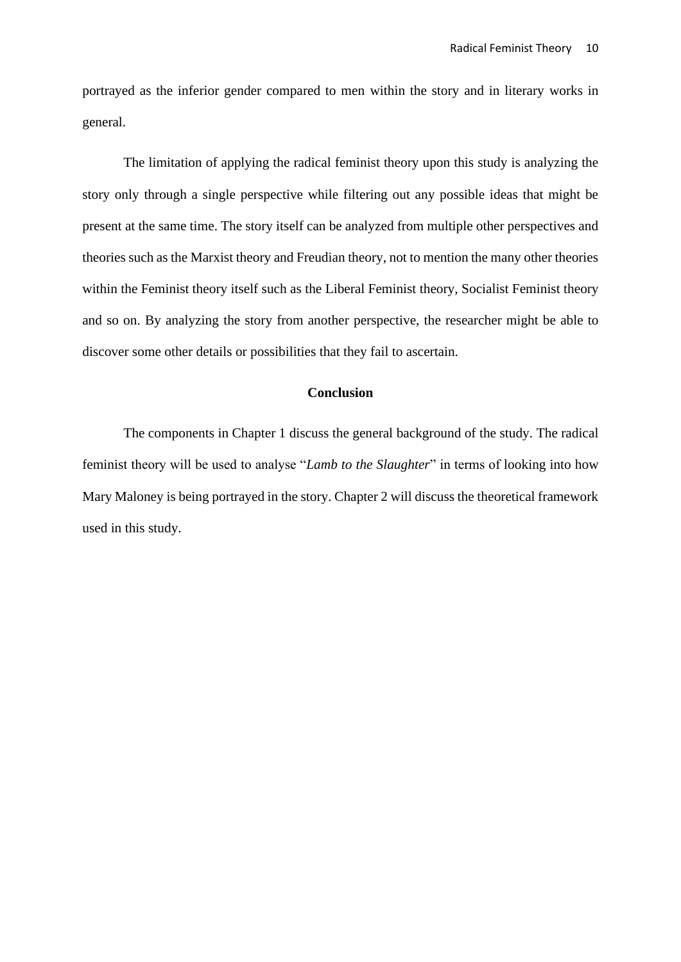portrayed as the inferior gender compared to men within the story and in literary works in general.

The limitation of applying the radical feminist theory upon this study is analyzing the story only through a single perspective while filtering out any possible ideas that might be present at the same time. The story itself can be analyzed from multiple other perspectives and theories such as the Marxist theory and Freudian theory, not to mention the many other theories within the Feminist theory itself such as the Liberal Feminist theory, Socialist Feminist theory and so on. By analyzing the story from another perspective, the researcher might be able to discover some other details or possibilities that they fail to ascertain.

# **Conclusion**

The components in Chapter 1 discuss the general background of the study. The radical feminist theory will be used to analyse "*Lamb to the Slaughter*" in terms of looking into how Mary Maloney is being portrayed in the story. Chapter 2 will discuss the theoretical framework used in this study.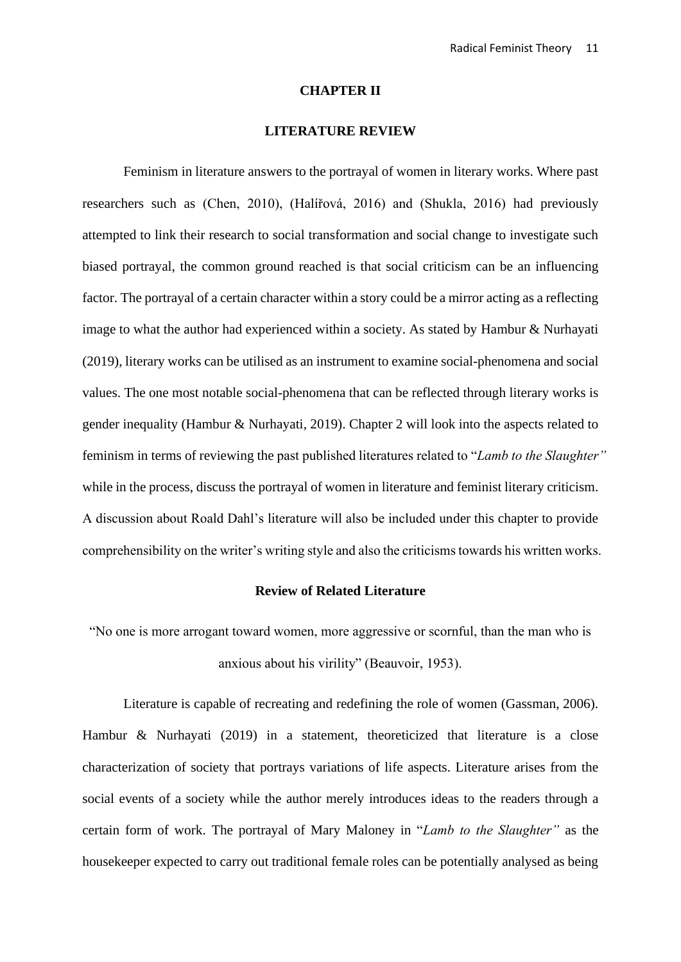#### **CHAPTER II**

# **LITERATURE REVIEW**

Feminism in literature answers to the portrayal of women in literary works. Where past researchers such as (Chen, 2010), (Halířová, 2016) and (Shukla, 2016) had previously attempted to link their research to social transformation and social change to investigate such biased portrayal, the common ground reached is that social criticism can be an influencing factor. The portrayal of a certain character within a story could be a mirror acting as a reflecting image to what the author had experienced within a society. As stated by Hambur & Nurhayati (2019), literary works can be utilised as an instrument to examine social-phenomena and social values. The one most notable social-phenomena that can be reflected through literary works is gender inequality (Hambur & Nurhayati, 2019). Chapter 2 will look into the aspects related to feminism in terms of reviewing the past published literatures related to "*Lamb to the Slaughter"* while in the process, discuss the portrayal of women in literature and feminist literary criticism. A discussion about Roald Dahl's literature will also be included under this chapter to provide comprehensibility on the writer's writing style and also the criticisms towards his written works.

### **Review of Related Literature**

"No one is more arrogant toward women, more aggressive or scornful, than the man who is anxious about his virility" (Beauvoir, 1953).

Literature is capable of recreating and redefining the role of women (Gassman, 2006). Hambur & Nurhayati (2019) in a statement, theoreticized that literature is a close characterization of society that portrays variations of life aspects. Literature arises from the social events of a society while the author merely introduces ideas to the readers through a certain form of work. The portrayal of Mary Maloney in "*Lamb to the Slaughter"* as the housekeeper expected to carry out traditional female roles can be potentially analysed as being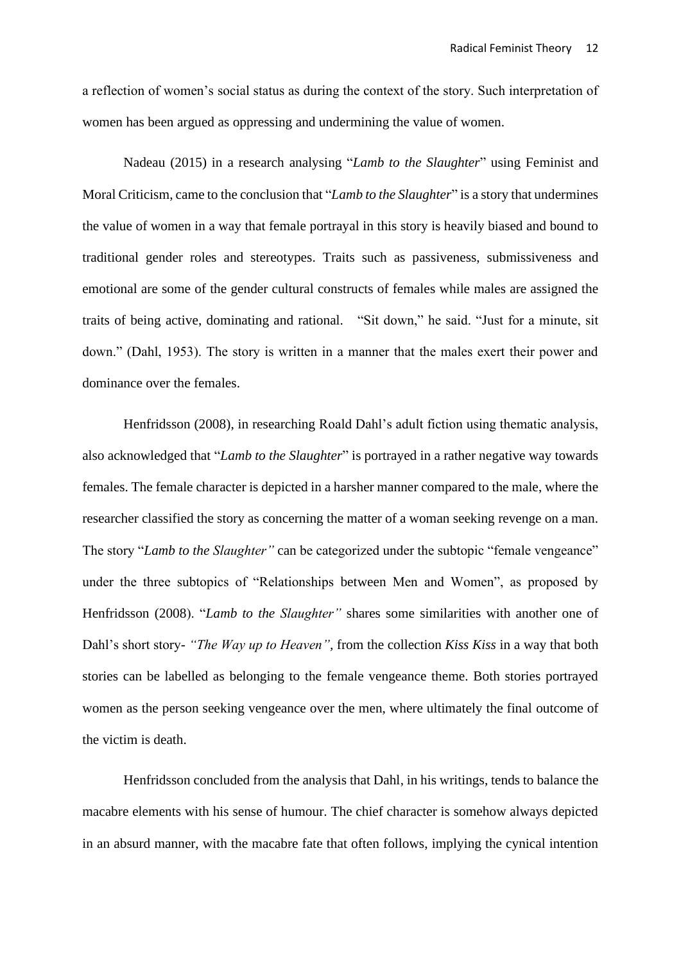a reflection of women's social status as during the context of the story. Such interpretation of women has been argued as oppressing and undermining the value of women.

Nadeau (2015) in a research analysing "*Lamb to the Slaughter*" using Feminist and Moral Criticism, came to the conclusion that "*Lamb to the Slaughter*" is a story that undermines the value of women in a way that female portrayal in this story is heavily biased and bound to traditional gender roles and stereotypes. Traits such as passiveness, submissiveness and emotional are some of the gender cultural constructs of females while males are assigned the traits of being active, dominating and rational. "Sit down," he said. "Just for a minute, sit down." (Dahl, 1953). The story is written in a manner that the males exert their power and dominance over the females.

Henfridsson (2008), in researching Roald Dahl's adult fiction using thematic analysis, also acknowledged that "*Lamb to the Slaughter*" is portrayed in a rather negative way towards females. The female character is depicted in a harsher manner compared to the male, where the researcher classified the story as concerning the matter of a woman seeking revenge on a man. The story "*Lamb to the Slaughter"* can be categorized under the subtopic "female vengeance" under the three subtopics of "Relationships between Men and Women", as proposed by Henfridsson (2008). "*Lamb to the Slaughter"* shares some similarities with another one of Dahl's short story- *"The Way up to Heaven",* from the collection *Kiss Kiss* in a way that both stories can be labelled as belonging to the female vengeance theme. Both stories portrayed women as the person seeking vengeance over the men, where ultimately the final outcome of the victim is death.

Henfridsson concluded from the analysis that Dahl, in his writings, tends to balance the macabre elements with his sense of humour. The chief character is somehow always depicted in an absurd manner, with the macabre fate that often follows, implying the cynical intention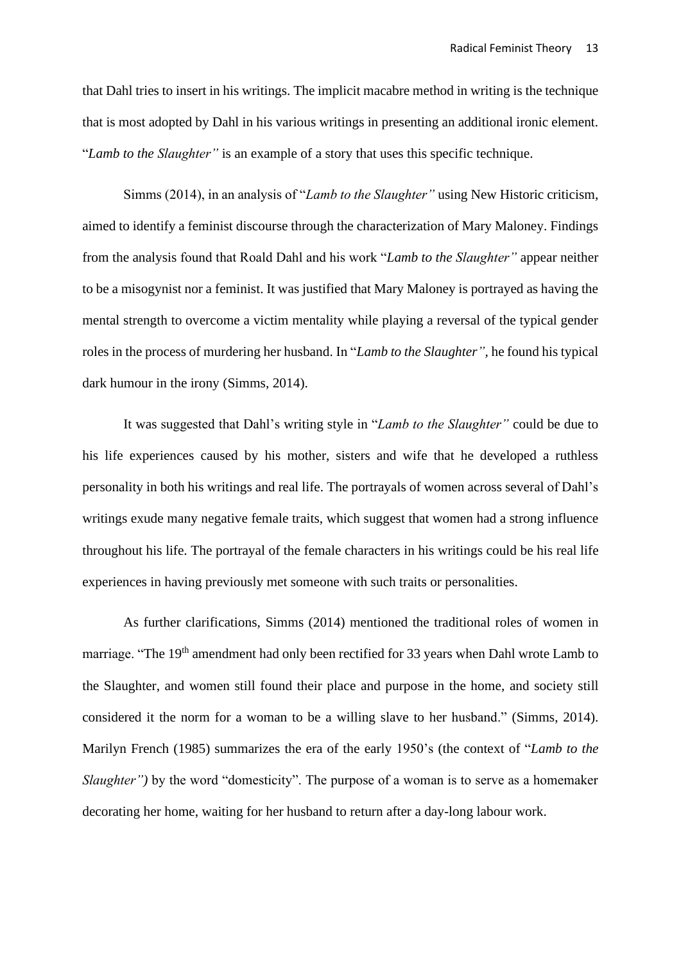that Dahl tries to insert in his writings. The implicit macabre method in writing is the technique that is most adopted by Dahl in his various writings in presenting an additional ironic element. "*Lamb to the Slaughter"* is an example of a story that uses this specific technique.

Simms (2014), in an analysis of "*Lamb to the Slaughter"* using New Historic criticism, aimed to identify a feminist discourse through the characterization of Mary Maloney. Findings from the analysis found that Roald Dahl and his work "*Lamb to the Slaughter"* appear neither to be a misogynist nor a feminist. It was justified that Mary Maloney is portrayed as having the mental strength to overcome a victim mentality while playing a reversal of the typical gender roles in the process of murdering her husband. In "*Lamb to the Slaughter",* he found his typical dark humour in the irony (Simms, 2014).

It was suggested that Dahl's writing style in "*Lamb to the Slaughter"* could be due to his life experiences caused by his mother, sisters and wife that he developed a ruthless personality in both his writings and real life. The portrayals of women across several of Dahl's writings exude many negative female traits, which suggest that women had a strong influence throughout his life. The portrayal of the female characters in his writings could be his real life experiences in having previously met someone with such traits or personalities.

As further clarifications, Simms (2014) mentioned the traditional roles of women in marriage. "The 19<sup>th</sup> amendment had only been rectified for 33 years when Dahl wrote Lamb to the Slaughter, and women still found their place and purpose in the home, and society still considered it the norm for a woman to be a willing slave to her husband." (Simms, 2014). Marilyn French (1985) summarizes the era of the early 1950's (the context of "*Lamb to the Slaughter"*) by the word "domesticity". The purpose of a woman is to serve as a homemaker decorating her home, waiting for her husband to return after a day-long labour work.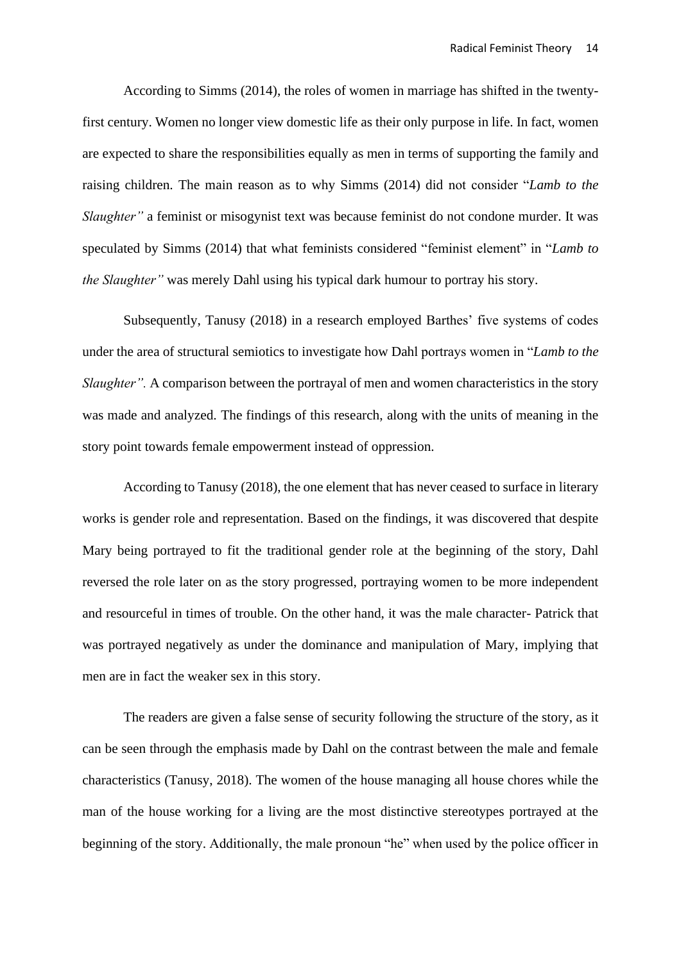According to Simms (2014), the roles of women in marriage has shifted in the twentyfirst century. Women no longer view domestic life as their only purpose in life. In fact, women are expected to share the responsibilities equally as men in terms of supporting the family and raising children. The main reason as to why Simms (2014) did not consider "*Lamb to the Slaughter"* a feminist or misogynist text was because feminist do not condone murder. It was speculated by Simms (2014) that what feminists considered "feminist element" in "*Lamb to the Slaughter"* was merely Dahl using his typical dark humour to portray his story.

Subsequently, Tanusy (2018) in a research employed Barthes' five systems of codes under the area of structural semiotics to investigate how Dahl portrays women in "*Lamb to the Slaughter".* A comparison between the portrayal of men and women characteristics in the story was made and analyzed. The findings of this research, along with the units of meaning in the story point towards female empowerment instead of oppression.

According to Tanusy (2018), the one element that has never ceased to surface in literary works is gender role and representation. Based on the findings, it was discovered that despite Mary being portrayed to fit the traditional gender role at the beginning of the story, Dahl reversed the role later on as the story progressed, portraying women to be more independent and resourceful in times of trouble. On the other hand, it was the male character- Patrick that was portrayed negatively as under the dominance and manipulation of Mary, implying that men are in fact the weaker sex in this story.

The readers are given a false sense of security following the structure of the story, as it can be seen through the emphasis made by Dahl on the contrast between the male and female characteristics (Tanusy, 2018). The women of the house managing all house chores while the man of the house working for a living are the most distinctive stereotypes portrayed at the beginning of the story. Additionally, the male pronoun "he" when used by the police officer in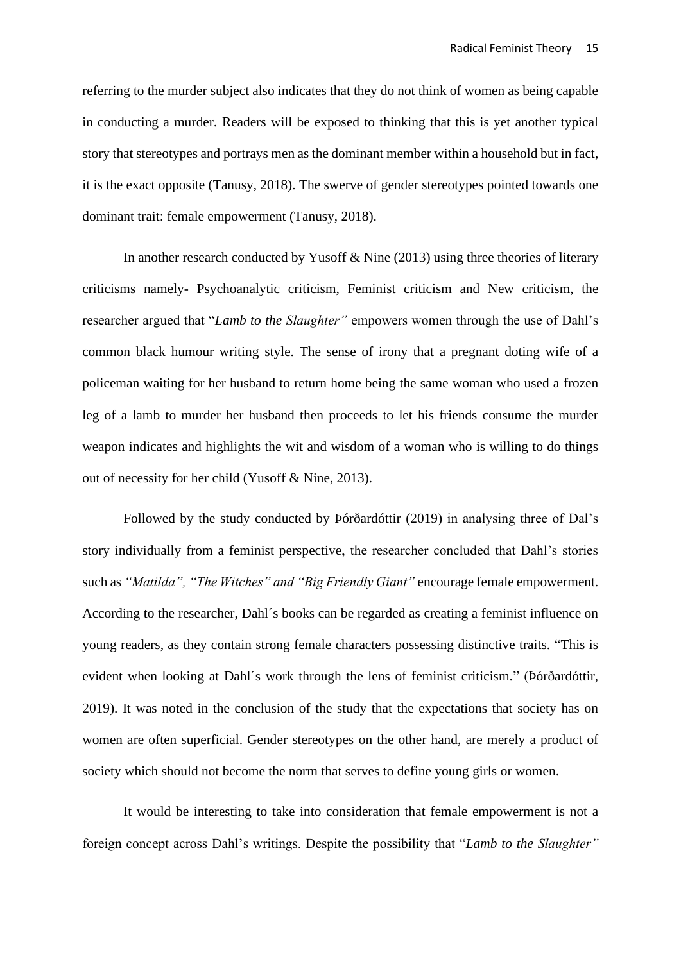referring to the murder subject also indicates that they do not think of women as being capable in conducting a murder. Readers will be exposed to thinking that this is yet another typical story that stereotypes and portrays men as the dominant member within a household but in fact, it is the exact opposite (Tanusy, 2018). The swerve of gender stereotypes pointed towards one dominant trait: female empowerment (Tanusy, 2018).

In another research conducted by Yusoff  $\&$  Nine (2013) using three theories of literary criticisms namely- Psychoanalytic criticism, Feminist criticism and New criticism, the researcher argued that "*Lamb to the Slaughter"* empowers women through the use of Dahl's common black humour writing style. The sense of irony that a pregnant doting wife of a policeman waiting for her husband to return home being the same woman who used a frozen leg of a lamb to murder her husband then proceeds to let his friends consume the murder weapon indicates and highlights the wit and wisdom of a woman who is willing to do things out of necessity for her child (Yusoff & Nine, 2013).

Followed by the study conducted by Þórðardóttir (2019) in analysing three of Dal's story individually from a feminist perspective, the researcher concluded that Dahl's stories such as *"Matilda", "The Witches" and "Big Friendly Giant"* encourage female empowerment. According to the researcher, Dahl´s books can be regarded as creating a feminist influence on young readers, as they contain strong female characters possessing distinctive traits. "This is evident when looking at Dahl´s work through the lens of feminist criticism." (Þórðardóttir, 2019). It was noted in the conclusion of the study that the expectations that society has on women are often superficial. Gender stereotypes on the other hand, are merely a product of society which should not become the norm that serves to define young girls or women.

It would be interesting to take into consideration that female empowerment is not a foreign concept across Dahl's writings. Despite the possibility that "*Lamb to the Slaughter"*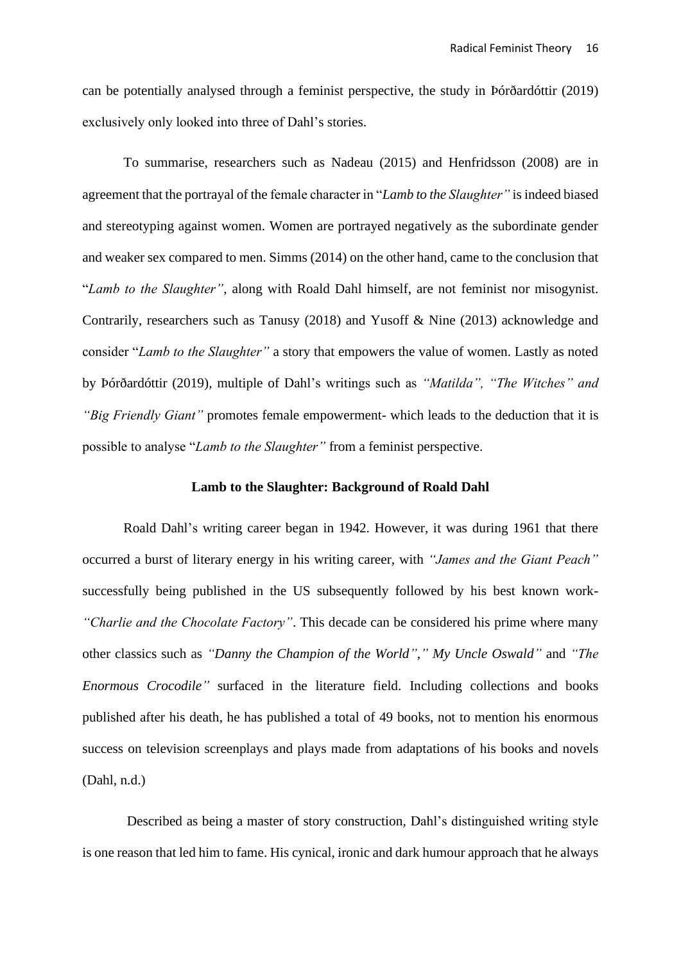can be potentially analysed through a feminist perspective, the study in Þórðardóttir (2019) exclusively only looked into three of Dahl's stories.

To summarise, researchers such as Nadeau (2015) and Henfridsson (2008) are in agreement that the portrayal of the female character in "*Lamb to the Slaughter"* is indeed biased and stereotyping against women. Women are portrayed negatively as the subordinate gender and weaker sex compared to men. Simms (2014) on the other hand, came to the conclusion that "*Lamb to the Slaughter",* along with Roald Dahl himself, are not feminist nor misogynist. Contrarily, researchers such as Tanusy (2018) and Yusoff & Nine (2013) acknowledge and consider "*Lamb to the Slaughter"* a story that empowers the value of women. Lastly as noted by Þórðardóttir (2019), multiple of Dahl's writings such as *"Matilda", "The Witches" and "Big Friendly Giant"* promotes female empowerment- which leads to the deduction that it is possible to analyse "*Lamb to the Slaughter"* from a feminist perspective.

### **Lamb to the Slaughter: Background of Roald Dahl**

Roald Dahl's writing career began in 1942. However, it was during 1961 that there occurred a burst of literary energy in his writing career, with *"James and the Giant Peach"*  successfully being published in the US subsequently followed by his best known work- *"Charlie and the Chocolate Factory"*. This decade can be considered his prime where many other classics such as *"Danny the Champion of the World"," My Uncle Oswald"* and *"The Enormous Crocodile"* surfaced in the literature field. Including collections and books published after his death, he has published a total of 49 books, not to mention his enormous success on television screenplays and plays made from adaptations of his books and novels (Dahl, n.d.)

Described as being a master of story construction, Dahl's distinguished writing style is one reason that led him to fame. His cynical, ironic and dark humour approach that he always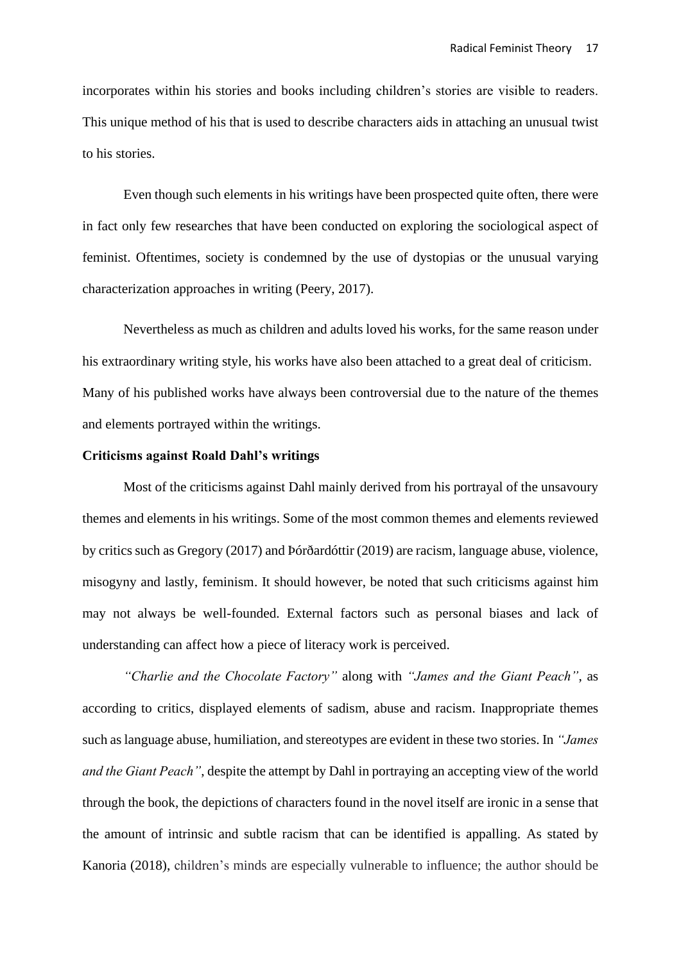incorporates within his stories and books including children's stories are visible to readers. This unique method of his that is used to describe characters aids in attaching an unusual twist to his stories.

Even though such elements in his writings have been prospected quite often, there were in fact only few researches that have been conducted on exploring the sociological aspect of feminist. Oftentimes, society is condemned by the use of dystopias or the unusual varying characterization approaches in writing (Peery, 2017).

Nevertheless as much as children and adults loved his works, for the same reason under his extraordinary writing style, his works have also been attached to a great deal of criticism. Many of his published works have always been controversial due to the nature of the themes and elements portrayed within the writings.

### **Criticisms against Roald Dahl's writings**

Most of the criticisms against Dahl mainly derived from his portrayal of the unsavoury themes and elements in his writings. Some of the most common themes and elements reviewed by critics such as Gregory (2017) and Þórðardóttir (2019) are racism, language abuse, violence, misogyny and lastly, feminism. It should however, be noted that such criticisms against him may not always be well-founded. External factors such as personal biases and lack of understanding can affect how a piece of literacy work is perceived.

*"Charlie and the Chocolate Factory"* along with *"James and the Giant Peach"*, as according to critics, displayed elements of sadism, abuse and racism. Inappropriate themes such as language abuse, humiliation, and stereotypes are evident in these two stories. In *"James and the Giant Peach"*, despite the attempt by Dahl in portraying an accepting view of the world through the book, the depictions of characters found in the novel itself are ironic in a sense that the amount of intrinsic and subtle racism that can be identified is appalling. As stated by Kanoria (2018), children's minds are especially vulnerable to influence; the author should be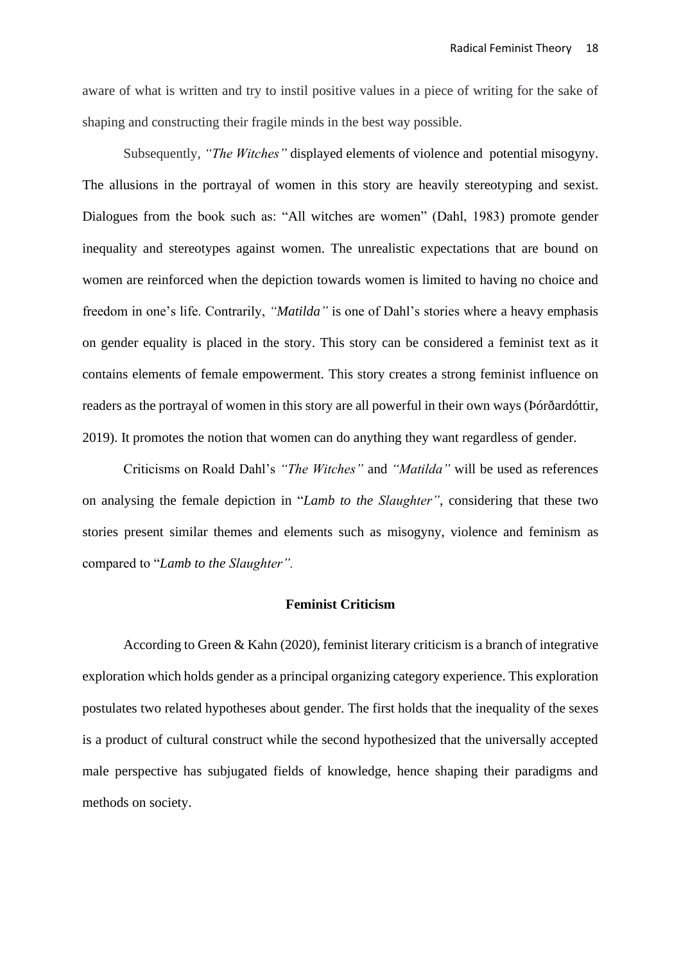aware of what is written and try to instil positive values in a piece of writing for the sake of shaping and constructing their fragile minds in the best way possible.

Subsequently, *"The Witches"* displayed elements of violence and potential [misogyny.](http://thisrecording.com/today/2011/6/1/in-which-we-consider-the-macabre-unpleasantness-of-roald-dah.html) The allusions in the portrayal of women in this story are heavily stereotyping and sexist. Dialogues from the book such as: "All witches are women" (Dahl, 1983) promote gender inequality and stereotypes against women. The unrealistic expectations that are bound on women are reinforced when the depiction towards women is limited to having no choice and freedom in one's life. Contrarily, *"Matilda"* is one of Dahl's stories where a heavy emphasis on gender equality is placed in the story. This story can be considered a feminist text as it contains elements of female empowerment. This story creates a strong feminist influence on readers as the portrayal of women in this story are all powerful in their own ways (Þórðardóttir, 2019). It promotes the notion that women can do anything they want regardless of gender.

Criticisms on Roald Dahl's *"The Witches"* and *"Matilda"* will be used as references on analysing the female depiction in "*Lamb to the Slaughter"*, considering that these two stories present similar themes and elements such as misogyny, violence and feminism as compared to "*Lamb to the Slaughter".*

#### **Feminist Criticism**

According to Green & Kahn (2020), feminist literary criticism is a branch of integrative exploration which holds gender as a principal organizing category experience. This exploration postulates two related hypotheses about gender. The first holds that the inequality of the sexes is a product of cultural construct while the second hypothesized that the universally accepted male perspective has subjugated fields of knowledge, hence shaping their paradigms and methods on society.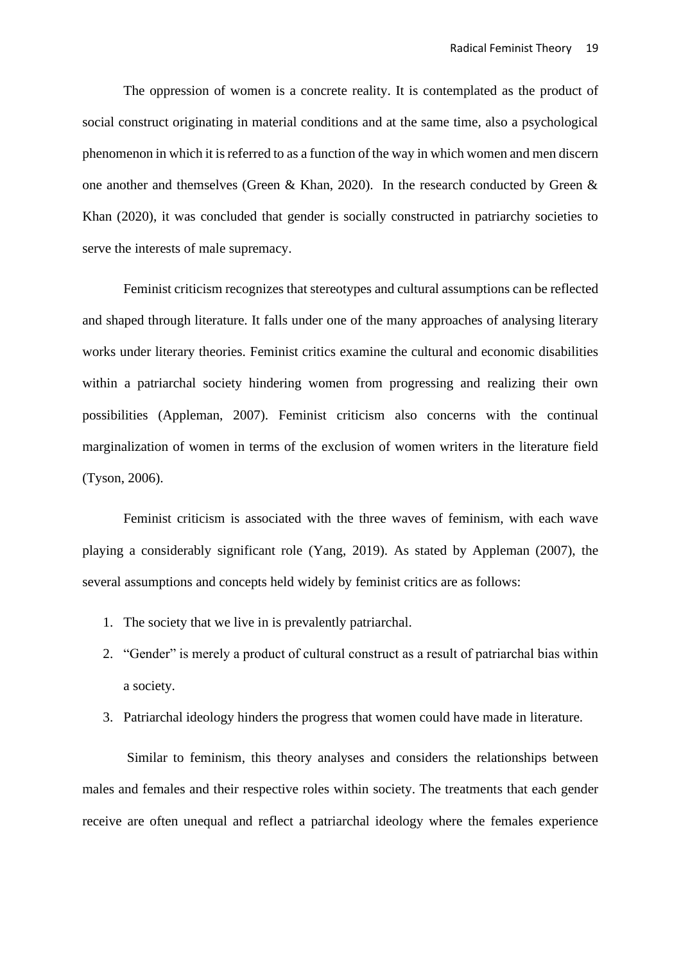The oppression of women is a concrete reality. It is contemplated as the product of social construct originating in material conditions and at the same time, also a psychological phenomenon in which it is referred to as a function of the way in which women and men discern one another and themselves (Green & Khan, 2020). In the research conducted by Green & Khan (2020), it was concluded that gender is socially constructed in patriarchy societies to serve the interests of male supremacy.

Feminist criticism recognizes that stereotypes and cultural assumptions can be reflected and shaped through literature. It falls under one of the many approaches of analysing literary works under literary theories. Feminist critics examine the cultural and economic disabilities within a patriarchal society hindering women from progressing and realizing their own possibilities (Appleman, 2007). Feminist criticism also concerns with the continual marginalization of women in terms of the exclusion of women writers in the literature field (Tyson, 2006).

Feminist criticism is associated with the three waves of feminism, with each wave playing a considerably significant role (Yang, 2019). As stated by Appleman (2007), the several assumptions and concepts held widely by feminist critics are as follows:

- 1. The society that we live in is prevalently patriarchal.
- 2. "Gender" is merely a product of cultural construct as a result of patriarchal bias within a society.
- 3. Patriarchal ideology hinders the progress that women could have made in literature.

Similar to feminism, this theory analyses and considers the relationships between males and females and their respective roles within society. The treatments that each gender receive are often unequal and reflect a patriarchal ideology where the females experience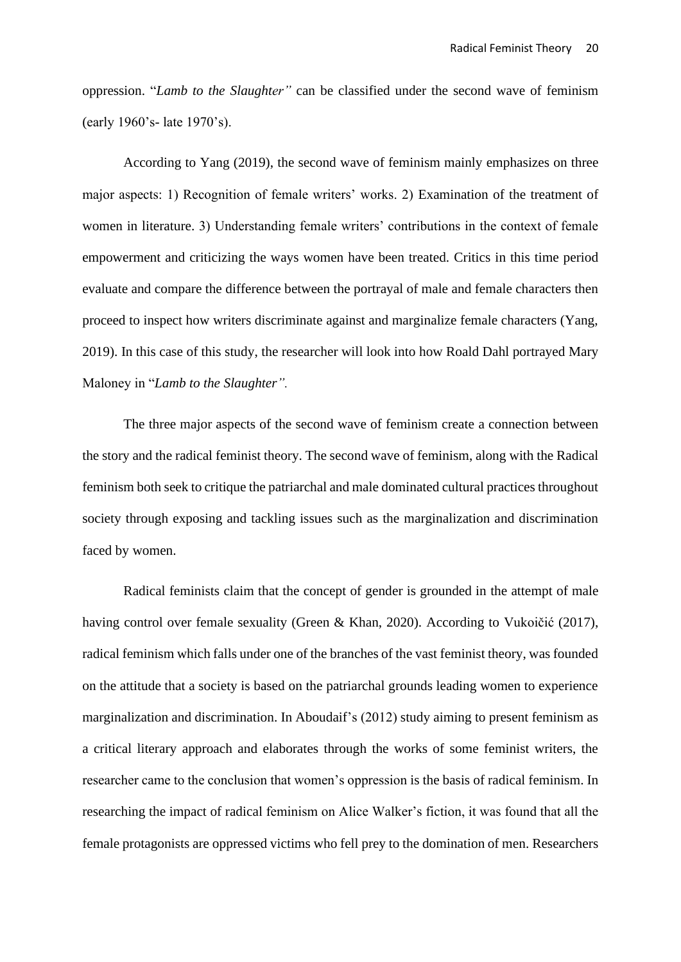oppression. "*Lamb to the Slaughter"* can be classified under the second wave of feminism (early 1960's- late 1970's).

According to Yang (2019), the second wave of feminism mainly emphasizes on three major aspects: 1) Recognition of female writers' works. 2) Examination of the treatment of women in literature. 3) Understanding female writers' contributions in the context of female empowerment and criticizing the ways women have been treated. Critics in this time period evaluate and compare the difference between the portrayal of male and female characters then proceed to inspect how writers discriminate against and marginalize female characters (Yang, 2019). In this case of this study, the researcher will look into how Roald Dahl portrayed Mary Maloney in "*Lamb to the Slaughter".*

The three major aspects of the second wave of feminism create a connection between the story and the radical feminist theory. The second wave of feminism, along with the Radical feminism both seek to critique the patriarchal and male dominated cultural practices throughout society through exposing and tackling issues such as the marginalization and discrimination faced by women.

Radical feminists claim that the concept of gender is grounded in the attempt of male having control over female sexuality (Green & Khan, 2020). According to [Vukoičić](https://www.researchgate.net/profile/Jelena_Vukoicic2) (2017), radical feminism which falls under one of the branches of the vast feminist theory, was founded on the attitude that a society is based on the patriarchal grounds leading women to experience marginalization and discrimination. In Aboudaif's (2012) study aiming to present feminism as a critical literary approach and elaborates through the works of some feminist writers, the researcher came to the conclusion that women's oppression is the basis of radical feminism. In researching the impact of radical feminism on Alice Walker's fiction, it was found that all the female protagonists are oppressed victims who fell prey to the domination of men. Researchers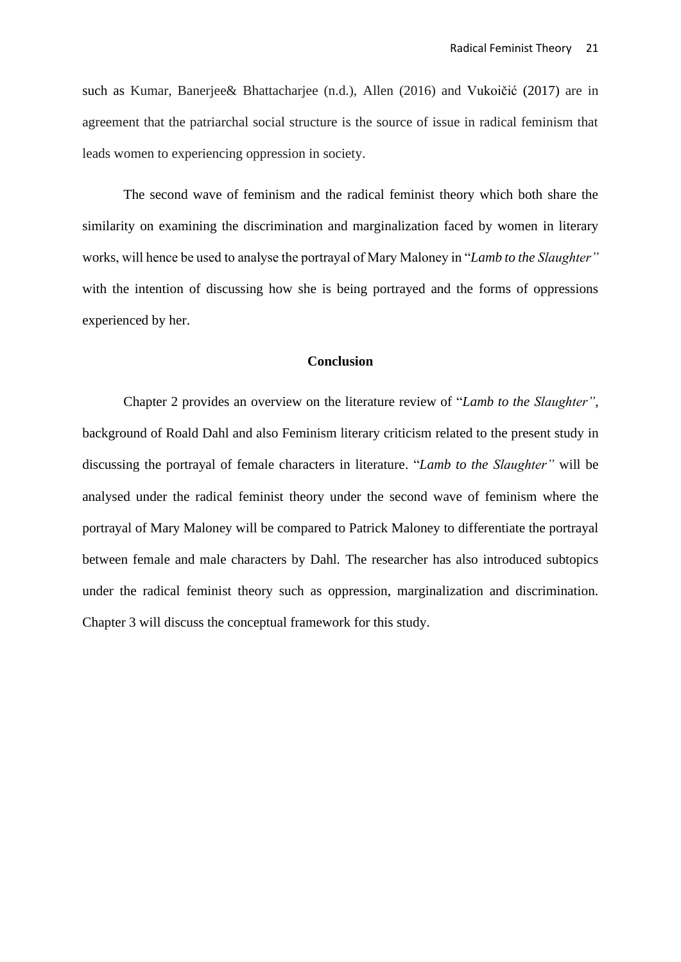such as Kumar, Banerjee& Bhattacharjee (n.d.), Allen (2016) and [Vukoičić](https://www.researchgate.net/profile/Jelena_Vukoicic2) (2017) are in agreement that the patriarchal social structure is the source of issue in radical feminism that leads women to experiencing oppression in society.

The second wave of feminism and the radical feminist theory which both share the similarity on examining the discrimination and marginalization faced by women in literary works, will hence be used to analyse the portrayal of Mary Maloney in "*Lamb to the Slaughter"* with the intention of discussing how she is being portrayed and the forms of oppressions experienced by her.

### **Conclusion**

Chapter 2 provides an overview on the literature review of "*Lamb to the Slaughter"*, background of Roald Dahl and also Feminism literary criticism related to the present study in discussing the portrayal of female characters in literature. "*Lamb to the Slaughter"* will be analysed under the radical feminist theory under the second wave of feminism where the portrayal of Mary Maloney will be compared to Patrick Maloney to differentiate the portrayal between female and male characters by Dahl*.* The researcher has also introduced subtopics under the radical feminist theory such as oppression, marginalization and discrimination. Chapter 3 will discuss the conceptual framework for this study.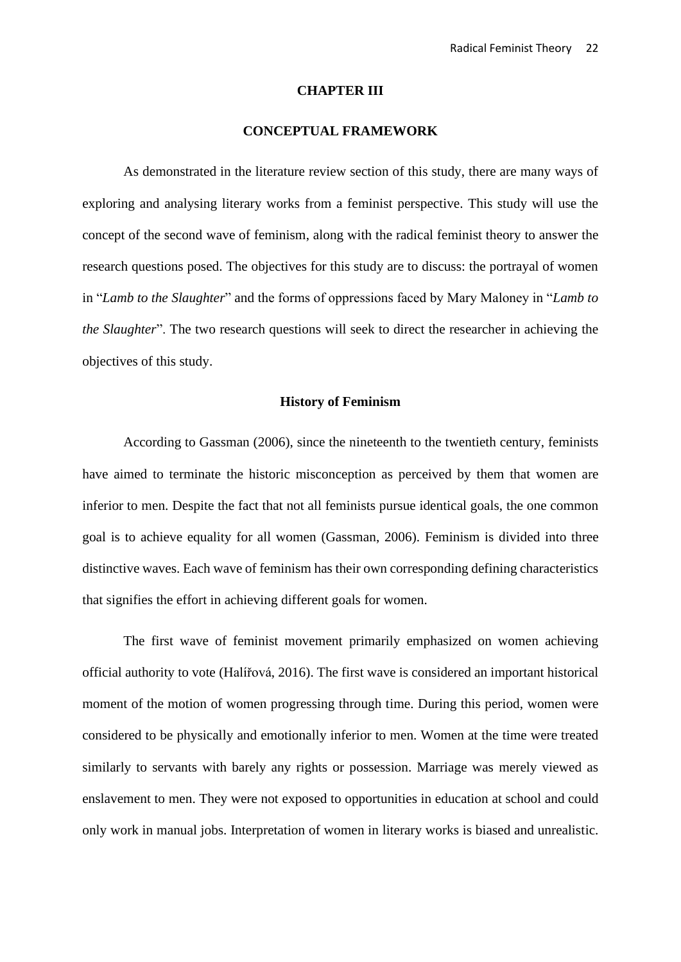#### **CHAPTER III**

# **CONCEPTUAL FRAMEWORK**

As demonstrated in the literature review section of this study, there are many ways of exploring and analysing literary works from a feminist perspective. This study will use the concept of the second wave of feminism, along with the radical feminist theory to answer the research questions posed. The objectives for this study are to discuss: the portrayal of women in "*Lamb to the Slaughter*" and the forms of oppressions faced by Mary Maloney in "*Lamb to the Slaughter*". The two research questions will seek to direct the researcher in achieving the objectives of this study.

#### **History of Feminism**

According to Gassman (2006), since the nineteenth to the twentieth century, feminists have aimed to terminate the historic misconception as perceived by them that women are inferior to men. Despite the fact that not all feminists pursue identical goals, the one common goal is to achieve equality for all women (Gassman, 2006). Feminism is divided into three distinctive waves. Each wave of feminism has their own corresponding defining characteristics that signifies the effort in achieving different goals for women.

The first wave of feminist movement primarily emphasized on women achieving official authority to vote (Halířová, 2016). The first wave is considered an important historical moment of the motion of women progressing through time. During this period, women were considered to be physically and emotionally inferior to men. Women at the time were treated similarly to servants with barely any rights or possession. Marriage was merely viewed as enslavement to men. They were not exposed to opportunities in education at school and could only work in manual jobs. Interpretation of women in literary works is biased and unrealistic.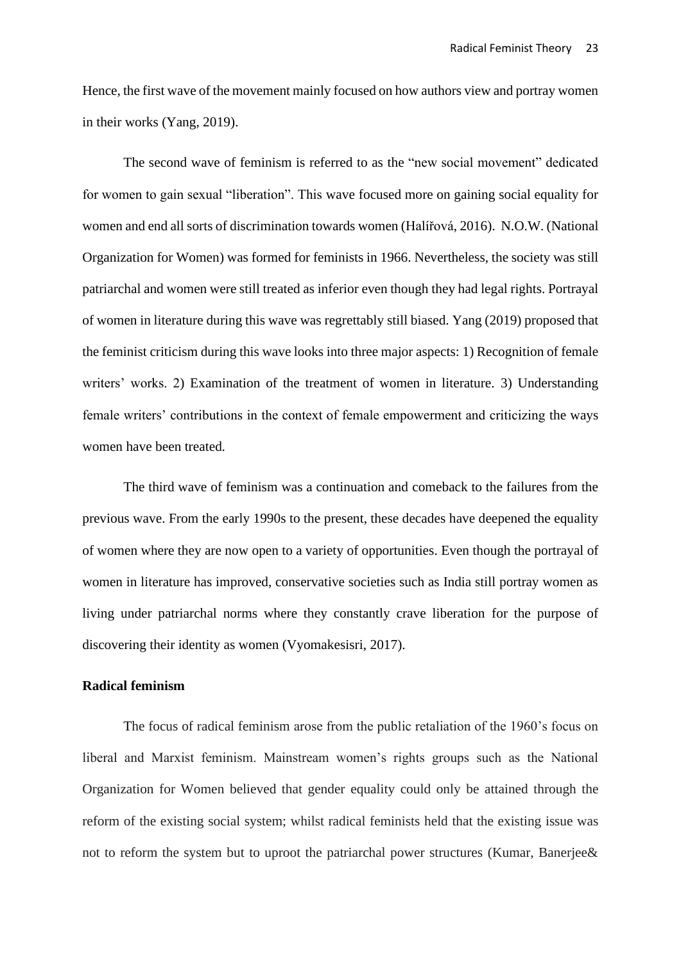Hence, the first wave of the movement mainly focused on how authors view and portray women in their works (Yang, 2019).

The second wave of feminism is referred to as the "new social movement" dedicated for women to gain sexual "liberation". This wave focused more on gaining social equality for women and end all sorts of discrimination towards women (Halířová, 2016). N.O.W. (National Organization for Women) was formed for feminists in 1966. Nevertheless, the society was still patriarchal and women were still treated as inferior even though they had legal rights. Portrayal of women in literature during this wave was regrettably still biased. Yang (2019) proposed that the feminist criticism during this wave looks into three major aspects: 1) Recognition of female writers' works. 2) Examination of the treatment of women in literature. 3) Understanding female writers' contributions in the context of female empowerment and criticizing the ways women have been treated*.*

The third wave of feminism was a continuation and comeback to the failures from the previous wave. From the early 1990s to the present, these decades have deepened the equality of women where they are now open to a variety of opportunities. Even though the portrayal of women in literature has improved, conservative societies such as India still portray women as living under patriarchal norms where they constantly crave liberation for the purpose of discovering their identity as women (Vyomakesisri, 2017).

# **Radical feminism**

The focus of radical feminism arose from the public retaliation of the 1960's focus on liberal and Marxist feminism. Mainstream women's rights groups such as the National Organization for Women believed that gender equality could only be attained through the reform of the existing social system; whilst radical feminists held that the existing issue was not to reform the system but to uproot the patriarchal power structures (Kumar, Banerjee&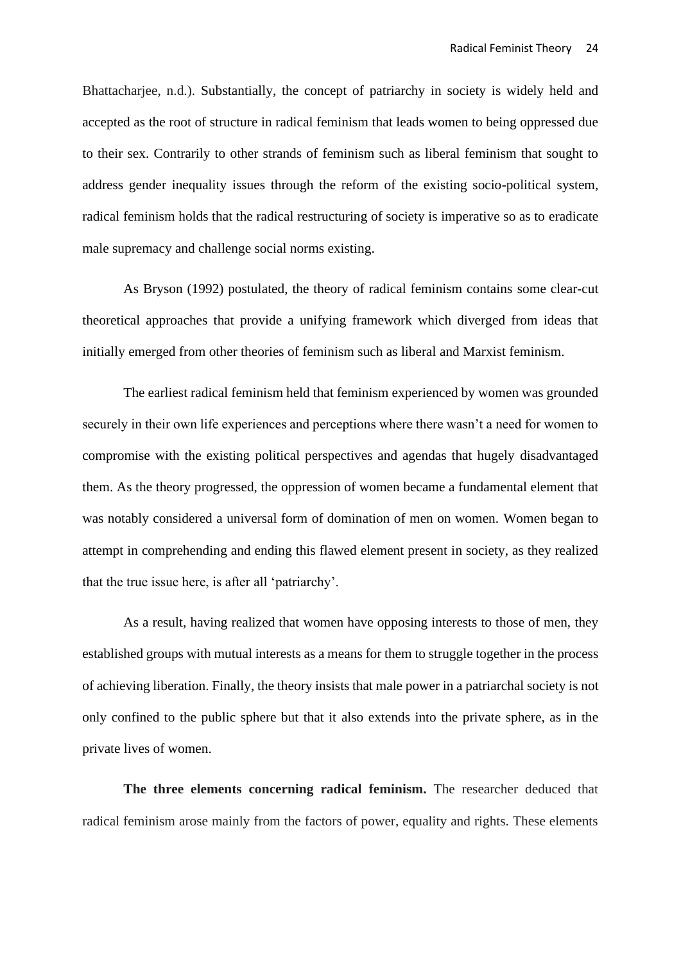Bhattacharjee, n.d.). Substantially, the concept of patriarchy in society is widely held and accepted as the root of structure in radical feminism that leads women to being oppressed due to their sex. Contrarily to other strands of feminism such as liberal feminism that sought to address gender inequality issues through the reform of the existing socio-political system, radical feminism holds that the radical restructuring of society is imperative so as to eradicate male supremacy and challenge social norms existing.

As Bryson (1992) postulated, the theory of radical feminism contains some clear-cut theoretical approaches that provide a unifying framework which diverged from ideas that initially emerged from other theories of feminism such as liberal and Marxist feminism.

The earliest radical feminism held that feminism experienced by women was grounded securely in their own life experiences and perceptions where there wasn't a need for women to compromise with the existing political perspectives and agendas that hugely disadvantaged them. As the theory progressed, the oppression of women became a fundamental element that was notably considered a universal form of domination of men on women. Women began to attempt in comprehending and ending this flawed element present in society, as they realized that the true issue here, is after all 'patriarchy'.

As a result, having realized that women have opposing interests to those of men, they established groups with mutual interests as a means for them to struggle together in the process of achieving liberation. Finally, the theory insists that male power in a patriarchal society is not only confined to the public sphere but that it also extends into the private sphere, as in the private lives of women.

**The three elements concerning radical feminism.** The researcher deduced that radical feminism arose mainly from the factors of power, equality and rights. These elements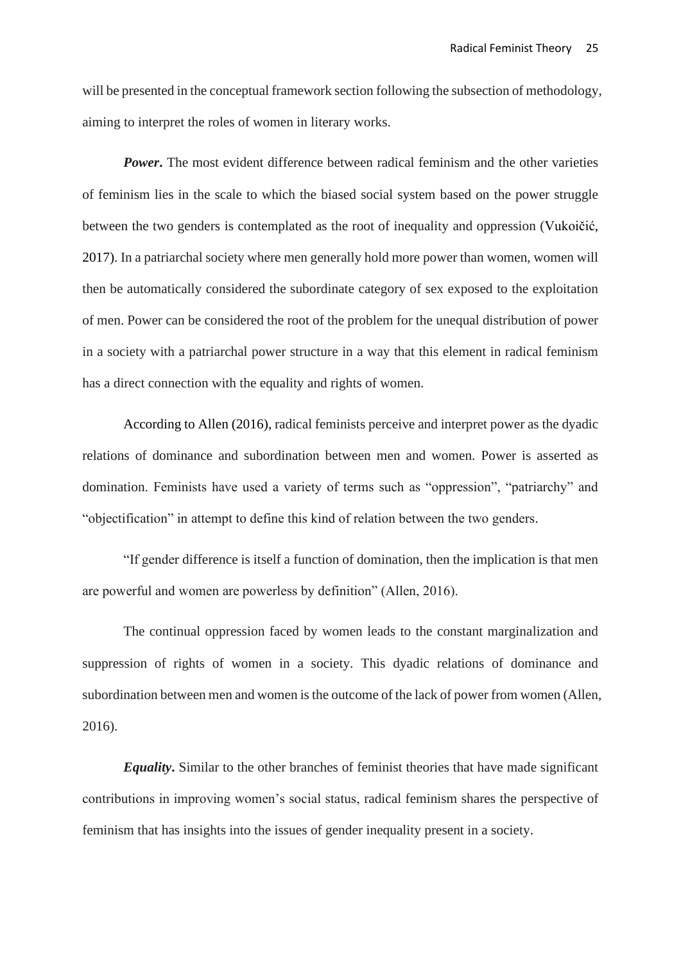will be presented in the conceptual framework section following the subsection of methodology, aiming to interpret the roles of women in literary works.

*Power*. The most evident difference between radical feminism and the other varieties of feminism lies in the scale to which the biased social system based on the power struggle between the two genders is contemplated as the root of inequality and oppression [\(Vukoičić,](https://www.researchgate.net/profile/Jelena_Vukoicic2) 2017). In a patriarchal society where men generally hold more power than women, women will then be automatically considered the subordinate category of sex exposed to the exploitation of men. Power can be considered the root of the problem for the unequal distribution of power in a society with a patriarchal power structure in a way that this element in radical feminism has a direct connection with the equality and rights of women.

According to Allen (2016), radical feminists perceive and interpret power as the dyadic relations of dominance and subordination between men and women. Power is asserted as domination. Feminists have used a variety of terms such as "oppression", "patriarchy" and "objectification" in attempt to define this kind of relation between the two genders.

"If gender difference is itself a function of domination, then the implication is that men are powerful and women are powerless by definition" (Allen, 2016).

The continual oppression faced by women leads to the constant marginalization and suppression of rights of women in a society. This dyadic relations of dominance and subordination between men and women is the outcome of the lack of power from women (Allen, 2016).

*Equality***.** Similar to the other branches of feminist theories that have made significant contributions in improving women's social status, radical feminism shares the perspective of feminism that has insights into the issues of gender inequality present in a society.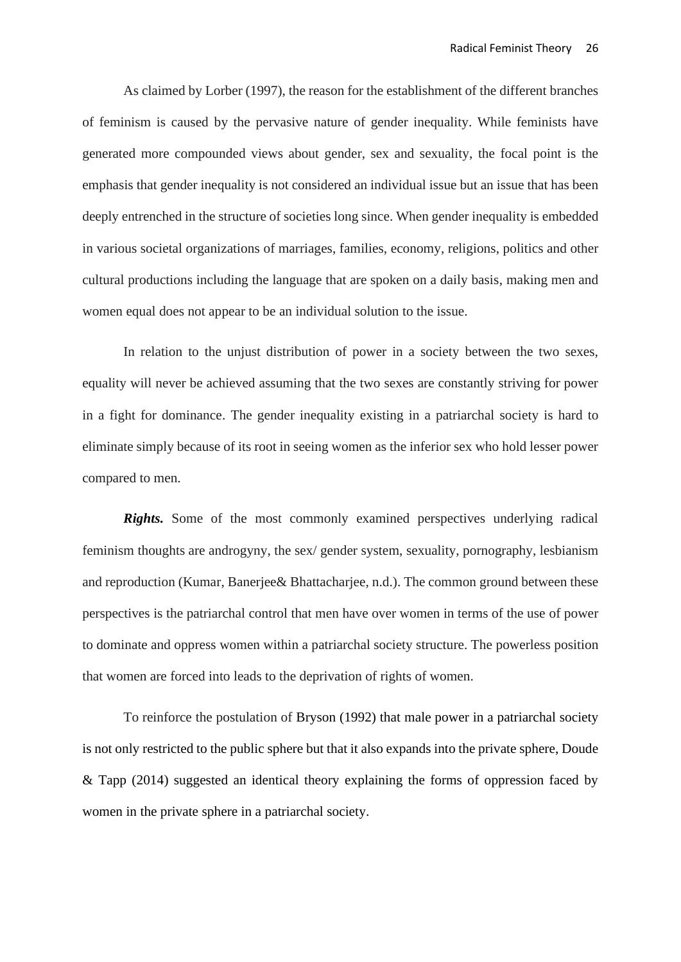As claimed by Lorber (1997), the reason for the establishment of the different branches of feminism is caused by the pervasive nature of gender inequality. While feminists have generated more compounded views about gender, sex and sexuality, the focal point is the emphasis that gender inequality is not considered an individual issue but an issue that has been deeply entrenched in the structure of societies long since. When gender inequality is embedded in various societal organizations of marriages, families, economy, religions, politics and other cultural productions including the language that are spoken on a daily basis, making men and women equal does not appear to be an individual solution to the issue.

In relation to the unjust distribution of power in a society between the two sexes, equality will never be achieved assuming that the two sexes are constantly striving for power in a fight for dominance. The gender inequality existing in a patriarchal society is hard to eliminate simply because of its root in seeing women as the inferior sex who hold lesser power compared to men.

**Rights.** Some of the most commonly examined perspectives underlying radical feminism thoughts are androgyny, the sex/ gender system, sexuality, pornography, lesbianism and reproduction (Kumar, Banerjee& Bhattacharjee, n.d.). The common ground between these perspectives is the patriarchal control that men have over women in terms of the use of power to dominate and oppress women within a patriarchal society structure. The powerless position that women are forced into leads to the deprivation of rights of women.

To reinforce the postulation of Bryson (1992) that male power in a patriarchal society is not only restricted to the public sphere but that it also expands into the private sphere, Doude & Tapp (2014) suggested an identical theory explaining the forms of oppression faced by women in the private sphere in a patriarchal society.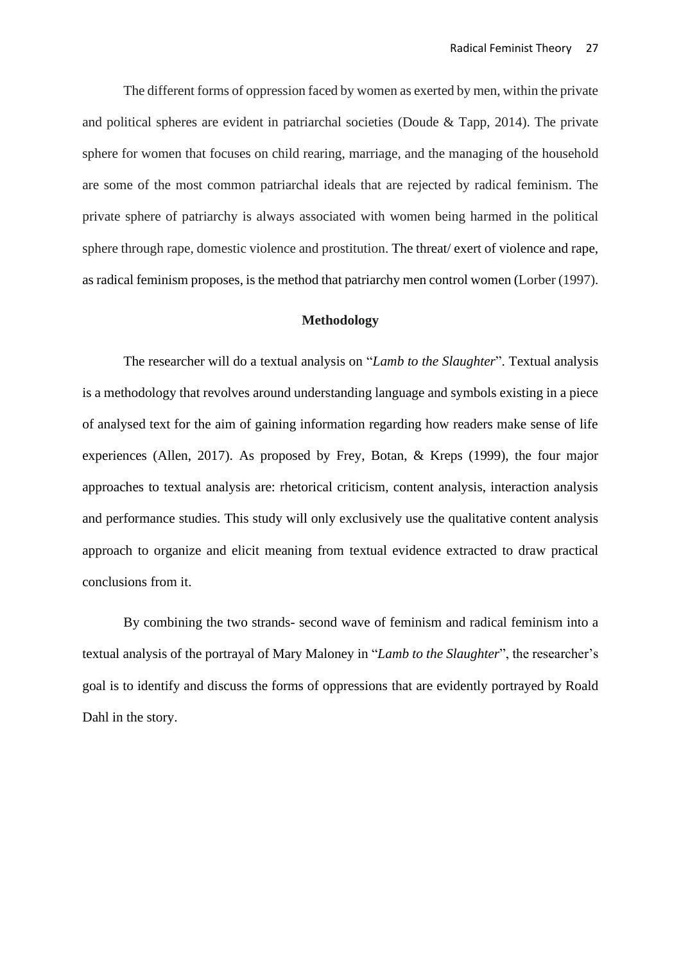The different forms of oppression faced by women as exerted by men, within the private and political spheres are evident in patriarchal societies (Doude & Tapp, 2014). The private sphere for women that focuses on child rearing, marriage, and the managing of the household are some of the most common patriarchal ideals that are rejected by radical feminism. The private sphere of patriarchy is always associated with women being harmed in the political sphere through rape, domestic violence and prostitution. The threat/ exert of violence and rape, as radical feminism proposes, is the method that patriarchy men control women (Lorber (1997).

#### **Methodology**

The researcher will do a textual analysis on "*Lamb to the Slaughter*". Textual analysis is a methodology that revolves around understanding language and symbols existing in a piece of analysed text for the aim of gaining information regarding how readers make sense of life experiences (Allen, 2017). As proposed by Frey, Botan, & Kreps (1999), the four major approaches to textual analysis are: rhetorical criticism, content analysis, interaction analysis and performance studies. This study will only exclusively use the qualitative content analysis approach to organize and elicit meaning from textual evidence extracted to draw practical conclusions from it.

By combining the two strands- second wave of feminism and radical feminism into a textual analysis of the portrayal of Mary Maloney in "*Lamb to the Slaughter*", the researcher's goal is to identify and discuss the forms of oppressions that are evidently portrayed by Roald Dahl in the story.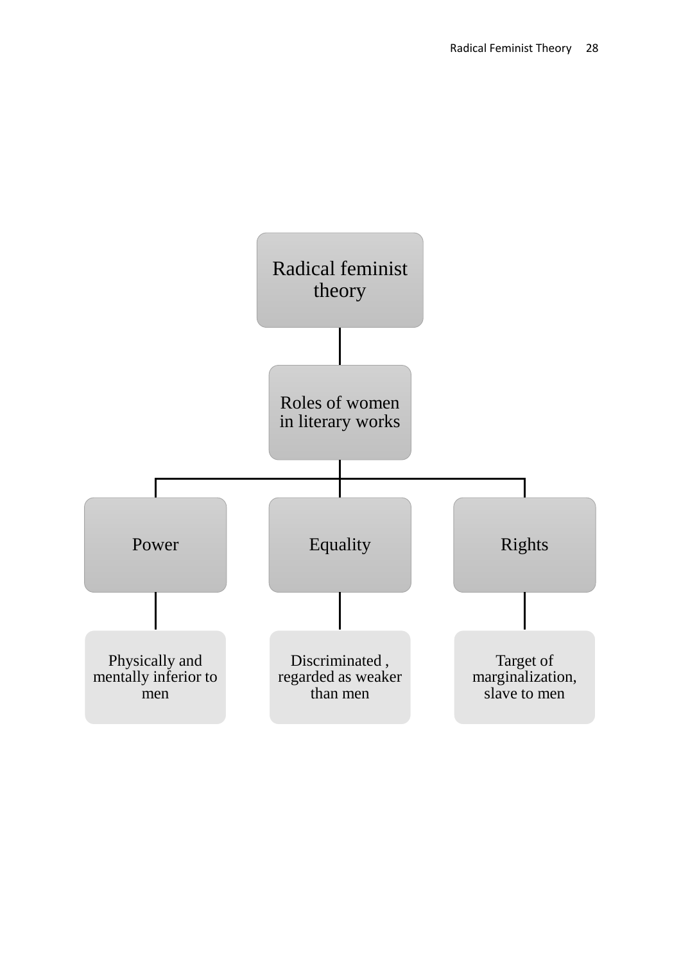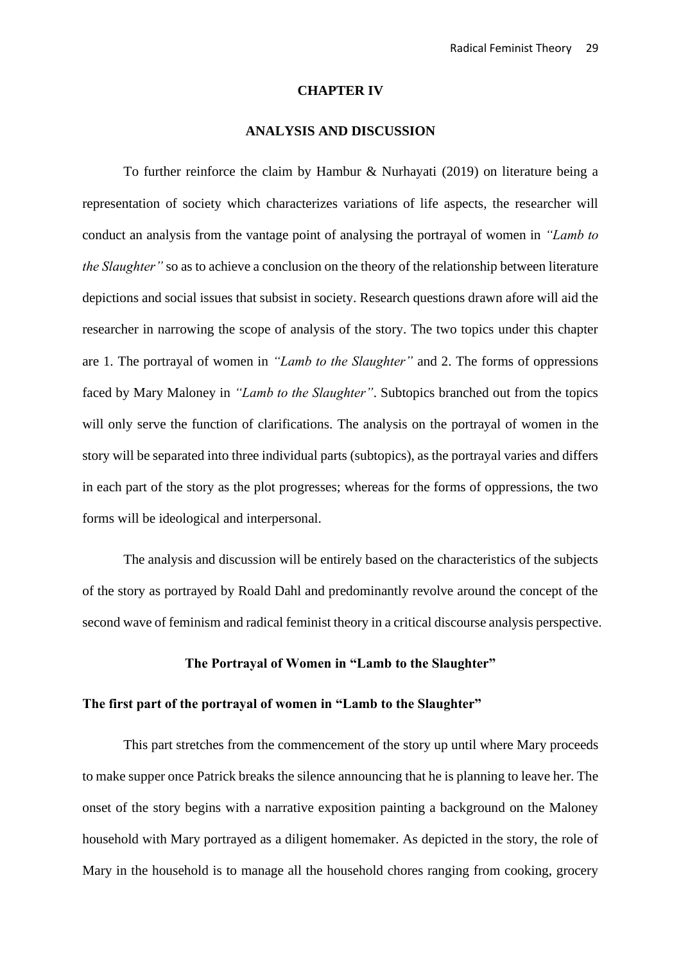#### **CHAPTER IV**

# **ANALYSIS AND DISCUSSION**

To further reinforce the claim by Hambur & Nurhayati (2019) on literature being a representation of society which characterizes variations of life aspects, the researcher will conduct an analysis from the vantage point of analysing the portrayal of women in *"Lamb to the Slaughter"* so as to achieve a conclusion on the theory of the relationship between literature depictions and social issues that subsist in society. Research questions drawn afore will aid the researcher in narrowing the scope of analysis of the story. The two topics under this chapter are 1. The portrayal of women in *"Lamb to the Slaughter"* and 2. The forms of oppressions faced by Mary Maloney in *"Lamb to the Slaughter"*. Subtopics branched out from the topics will only serve the function of clarifications. The analysis on the portrayal of women in the story will be separated into three individual parts (subtopics), as the portrayal varies and differs in each part of the story as the plot progresses; whereas for the forms of oppressions, the two forms will be ideological and interpersonal.

The analysis and discussion will be entirely based on the characteristics of the subjects of the story as portrayed by Roald Dahl and predominantly revolve around the concept of the second wave of feminism and radical feminist theory in a critical discourse analysis perspective.

### **The Portrayal of Women in "Lamb to the Slaughter"**

### **The first part of the portrayal of women in "Lamb to the Slaughter"**

This part stretches from the commencement of the story up until where Mary proceeds to make supper once Patrick breaks the silence announcing that he is planning to leave her. The onset of the story begins with a narrative exposition painting a background on the Maloney household with Mary portrayed as a diligent homemaker. As depicted in the story, the role of Mary in the household is to manage all the household chores ranging from cooking, grocery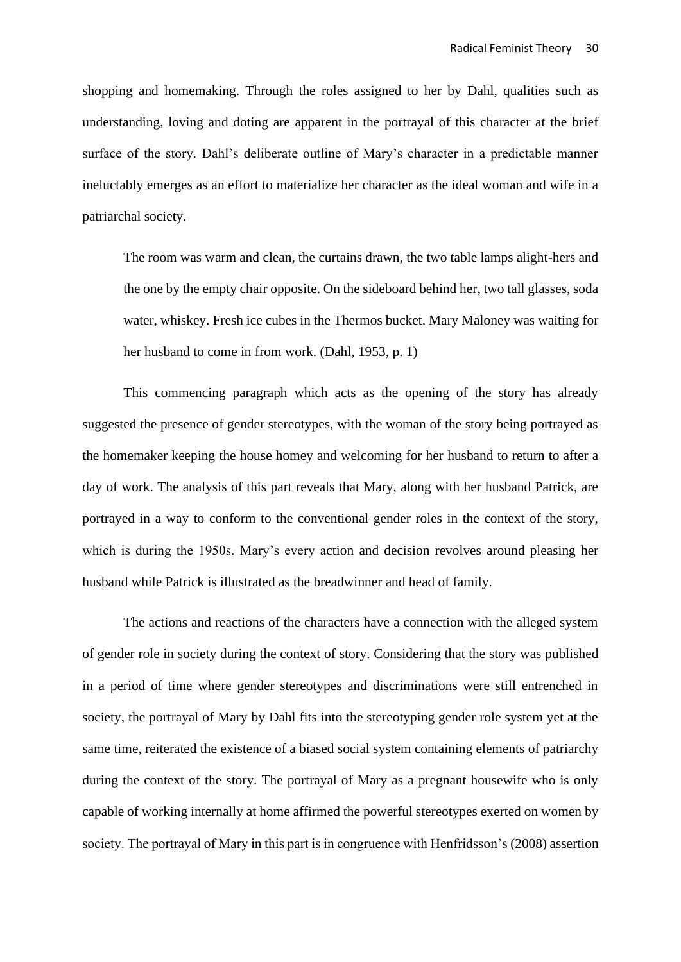shopping and homemaking. Through the roles assigned to her by Dahl, qualities such as understanding, loving and doting are apparent in the portrayal of this character at the brief surface of the story. Dahl's deliberate outline of Mary's character in a predictable manner ineluctably emerges as an effort to materialize her character as the ideal woman and wife in a patriarchal society.

The room was warm and clean, the curtains drawn, the two table lamps alight-hers and the one by the empty chair opposite. On the sideboard behind her, two tall glasses, soda water, whiskey. Fresh ice cubes in the Thermos bucket. Mary Maloney was waiting for her husband to come in from work. (Dahl, 1953, p. 1)

This commencing paragraph which acts as the opening of the story has already suggested the presence of gender stereotypes, with the woman of the story being portrayed as the homemaker keeping the house homey and welcoming for her husband to return to after a day of work. The analysis of this part reveals that Mary, along with her husband Patrick, are portrayed in a way to conform to the conventional gender roles in the context of the story, which is during the 1950s. Mary's every action and decision revolves around pleasing her husband while Patrick is illustrated as the breadwinner and head of family.

The actions and reactions of the characters have a connection with the alleged system of gender role in society during the context of story. Considering that the story was published in a period of time where gender stereotypes and discriminations were still entrenched in society, the portrayal of Mary by Dahl fits into the stereotyping gender role system yet at the same time, reiterated the existence of a biased social system containing elements of patriarchy during the context of the story. The portrayal of Mary as a pregnant housewife who is only capable of working internally at home affirmed the powerful stereotypes exerted on women by society. The portrayal of Mary in this part is in congruence with Henfridsson's (2008) assertion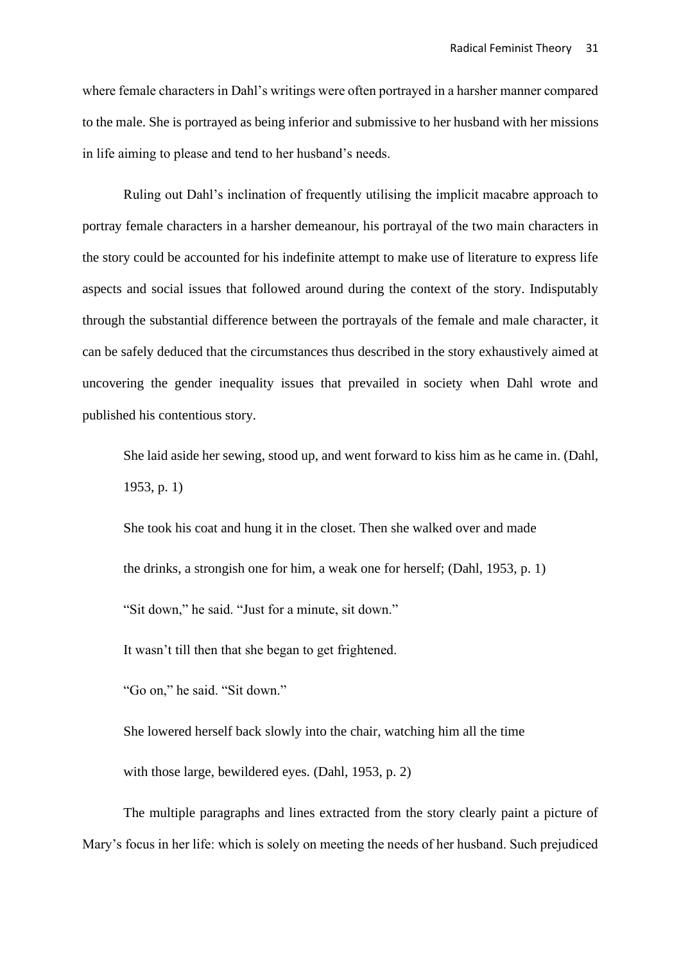where female characters in Dahl's writings were often portrayed in a harsher manner compared to the male. She is portrayed as being inferior and submissive to her husband with her missions in life aiming to please and tend to her husband's needs.

Ruling out Dahl's inclination of frequently utilising the implicit macabre approach to portray female characters in a harsher demeanour, his portrayal of the two main characters in the story could be accounted for his indefinite attempt to make use of literature to express life aspects and social issues that followed around during the context of the story. Indisputably through the substantial difference between the portrayals of the female and male character, it can be safely deduced that the circumstances thus described in the story exhaustively aimed at uncovering the gender inequality issues that prevailed in society when Dahl wrote and published his contentious story.

She laid aside her sewing, stood up, and went forward to kiss him as he came in. (Dahl, 1953, p. 1)

She took his coat and hung it in the closet. Then she walked over and made the drinks, a strongish one for him, a weak one for herself; (Dahl, 1953, p. 1) "Sit down," he said. "Just for a minute, sit down."

It wasn't till then that she began to get frightened.

"Go on," he said. "Sit down."

She lowered herself back slowly into the chair, watching him all the time with those large, bewildered eyes. (Dahl, 1953, p. 2)

The multiple paragraphs and lines extracted from the story clearly paint a picture of Mary's focus in her life: which is solely on meeting the needs of her husband. Such prejudiced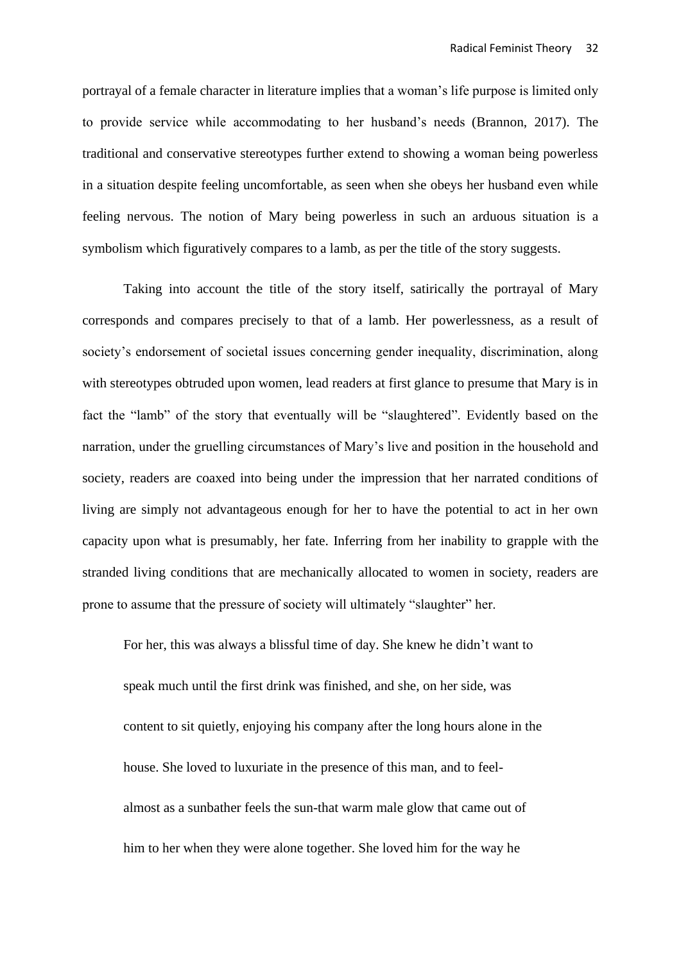portrayal of a female character in literature implies that a woman's life purpose is limited only to provide service while accommodating to her husband's needs (Brannon, 2017). The traditional and conservative stereotypes further extend to showing a woman being powerless in a situation despite feeling uncomfortable, as seen when she obeys her husband even while feeling nervous. The notion of Mary being powerless in such an arduous situation is a symbolism which figuratively compares to a lamb, as per the title of the story suggests.

Taking into account the title of the story itself, satirically the portrayal of Mary corresponds and compares precisely to that of a lamb. Her powerlessness, as a result of society's endorsement of societal issues concerning gender inequality, discrimination, along with stereotypes obtruded upon women, lead readers at first glance to presume that Mary is in fact the "lamb" of the story that eventually will be "slaughtered". Evidently based on the narration, under the gruelling circumstances of Mary's live and position in the household and society, readers are coaxed into being under the impression that her narrated conditions of living are simply not advantageous enough for her to have the potential to act in her own capacity upon what is presumably, her fate. Inferring from her inability to grapple with the stranded living conditions that are mechanically allocated to women in society, readers are prone to assume that the pressure of society will ultimately "slaughter" her.

For her, this was always a blissful time of day. She knew he didn't want to speak much until the first drink was finished, and she, on her side, was content to sit quietly, enjoying his company after the long hours alone in the house. She loved to luxuriate in the presence of this man, and to feelalmost as a sunbather feels the sun-that warm male glow that came out of him to her when they were alone together. She loved him for the way he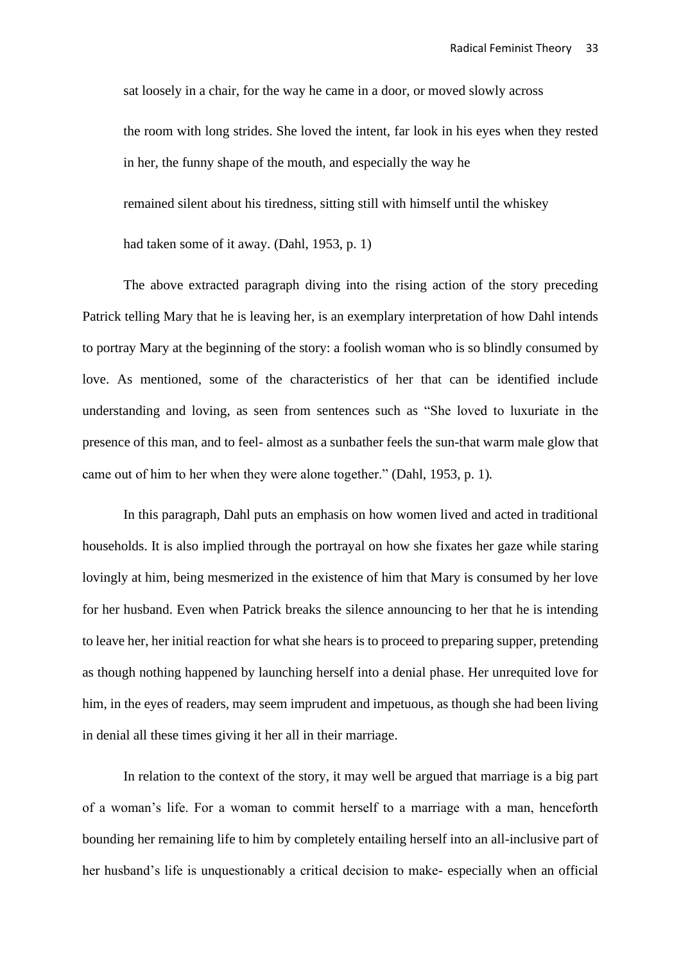sat loosely in a chair, for the way he came in a door, or moved slowly across the room with long strides. She loved the intent, far look in his eyes when they rested in her, the funny shape of the mouth, and especially the way he remained silent about his tiredness, sitting still with himself until the whiskey had taken some of it away. (Dahl, 1953, p. 1)

The above extracted paragraph diving into the rising action of the story preceding Patrick telling Mary that he is leaving her, is an exemplary interpretation of how Dahl intends to portray Mary at the beginning of the story: a foolish woman who is so blindly consumed by love. As mentioned, some of the characteristics of her that can be identified include understanding and loving, as seen from sentences such as "She loved to luxuriate in the presence of this man, and to feel- almost as a sunbather feels the sun-that warm male glow that came out of him to her when they were alone together." (Dahl, 1953, p. 1)*.* 

In this paragraph, Dahl puts an emphasis on how women lived and acted in traditional households. It is also implied through the portrayal on how she fixates her gaze while staring lovingly at him, being mesmerized in the existence of him that Mary is consumed by her love for her husband. Even when Patrick breaks the silence announcing to her that he is intending to leave her, her initial reaction for what she hears is to proceed to preparing supper, pretending as though nothing happened by launching herself into a denial phase. Her unrequited love for him, in the eyes of readers, may seem imprudent and impetuous, as though she had been living in denial all these times giving it her all in their marriage.

In relation to the context of the story, it may well be argued that marriage is a big part of a woman's life. For a woman to commit herself to a marriage with a man, henceforth bounding her remaining life to him by completely entailing herself into an all-inclusive part of her husband's life is unquestionably a critical decision to make- especially when an official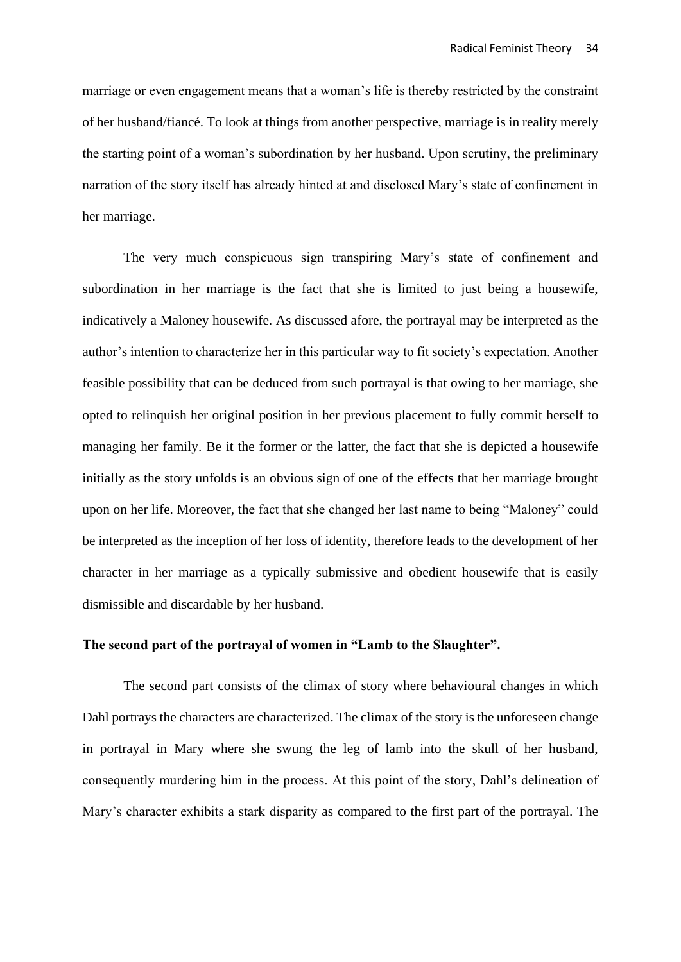marriage or even engagement means that a woman's life is thereby restricted by the constraint of her husband/fiancé. To look at things from another perspective, marriage is in reality merely the starting point of a woman's subordination by her husband. Upon scrutiny, the preliminary narration of the story itself has already hinted at and disclosed Mary's state of confinement in her marriage.

The very much conspicuous sign transpiring Mary's state of confinement and subordination in her marriage is the fact that she is limited to just being a housewife, indicatively a Maloney housewife. As discussed afore, the portrayal may be interpreted as the author's intention to characterize her in this particular way to fit society's expectation. Another feasible possibility that can be deduced from such portrayal is that owing to her marriage, she opted to relinquish her original position in her previous placement to fully commit herself to managing her family. Be it the former or the latter, the fact that she is depicted a housewife initially as the story unfolds is an obvious sign of one of the effects that her marriage brought upon on her life. Moreover, the fact that she changed her last name to being "Maloney" could be interpreted as the inception of her loss of identity, therefore leads to the development of her character in her marriage as a typically submissive and obedient housewife that is easily dismissible and discardable by her husband.

# **The second part of the portrayal of women in "Lamb to the Slaughter".**

The second part consists of the climax of story where behavioural changes in which Dahl portrays the characters are characterized. The climax of the story is the unforeseen change in portrayal in Mary where she swung the leg of lamb into the skull of her husband, consequently murdering him in the process. At this point of the story, Dahl's delineation of Mary's character exhibits a stark disparity as compared to the first part of the portrayal. The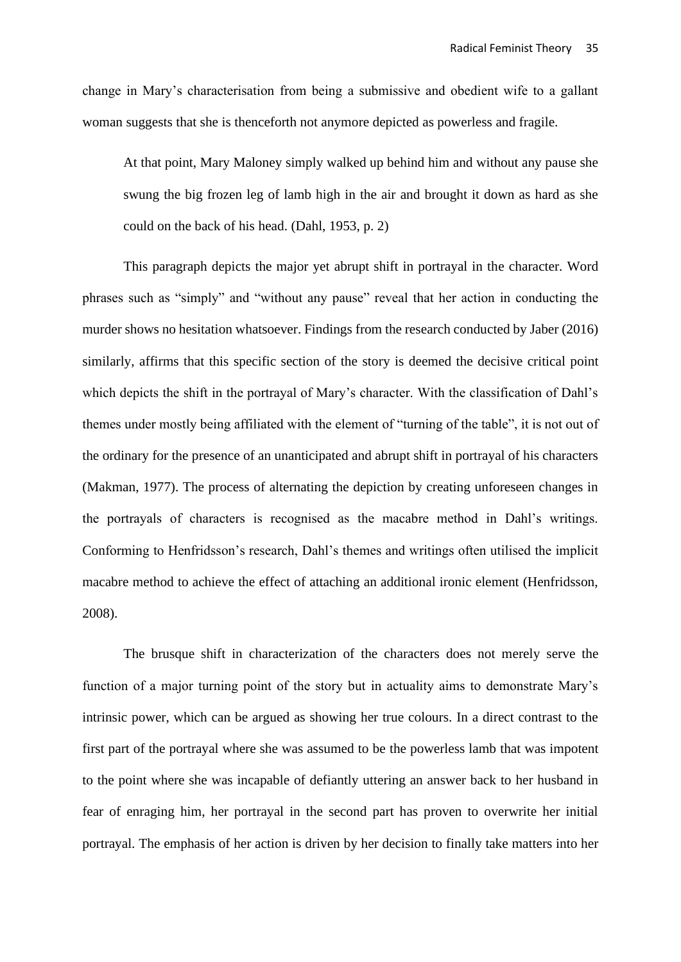change in Mary's characterisation from being a submissive and obedient wife to a gallant woman suggests that she is thenceforth not anymore depicted as powerless and fragile.

At that point, Mary Maloney simply walked up behind him and without any pause she swung the big frozen leg of lamb high in the air and brought it down as hard as she could on the back of his head. (Dahl, 1953, p. 2)

This paragraph depicts the major yet abrupt shift in portrayal in the character. Word phrases such as "simply" and "without any pause" reveal that her action in conducting the murder shows no hesitation whatsoever. Findings from the research conducted by Jaber (2016) similarly, affirms that this specific section of the story is deemed the decisive critical point which depicts the shift in the portrayal of Mary's character. With the classification of Dahl's themes under mostly being affiliated with the element of "turning of the table", it is not out of the ordinary for the presence of an unanticipated and abrupt shift in portrayal of his characters (Makman, 1977). The process of alternating the depiction by creating unforeseen changes in the portrayals of characters is recognised as the macabre method in Dahl's writings. Conforming to Henfridsson's research, Dahl's themes and writings often utilised the implicit macabre method to achieve the effect of attaching an additional ironic element (Henfridsson, 2008).

The brusque shift in characterization of the characters does not merely serve the function of a major turning point of the story but in actuality aims to demonstrate Mary's intrinsic power, which can be argued as showing her true colours. In a direct contrast to the first part of the portrayal where she was assumed to be the powerless lamb that was impotent to the point where she was incapable of defiantly uttering an answer back to her husband in fear of enraging him, her portrayal in the second part has proven to overwrite her initial portrayal. The emphasis of her action is driven by her decision to finally take matters into her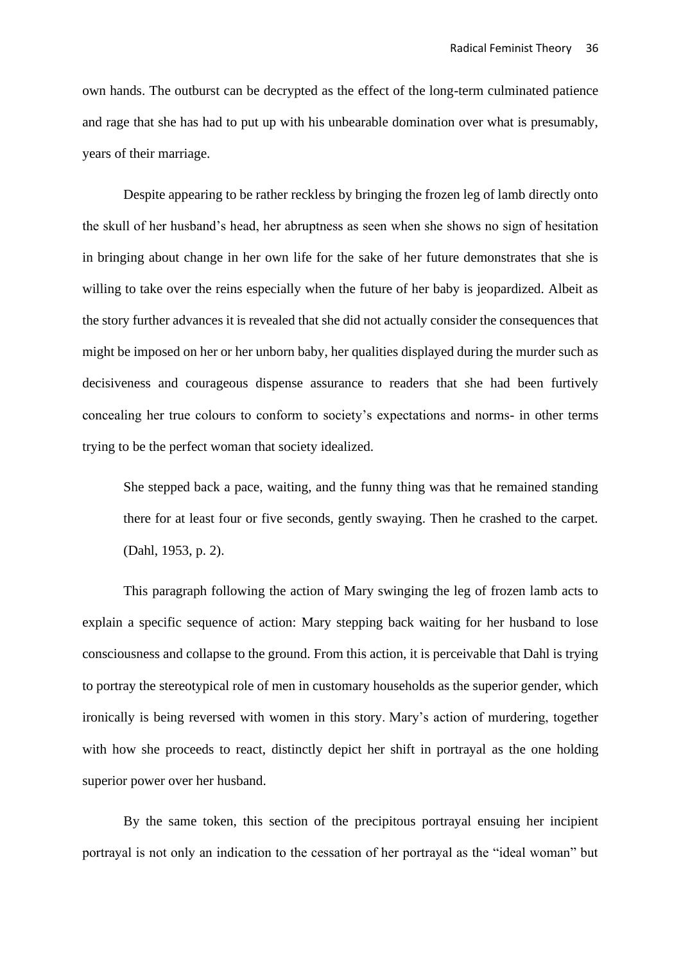own hands. The outburst can be decrypted as the effect of the long-term culminated patience and rage that she has had to put up with his unbearable domination over what is presumably, years of their marriage.

Despite appearing to be rather reckless by bringing the frozen leg of lamb directly onto the skull of her husband's head, her abruptness as seen when she shows no sign of hesitation in bringing about change in her own life for the sake of her future demonstrates that she is willing to take over the reins especially when the future of her baby is jeopardized. Albeit as the story further advances it is revealed that she did not actually consider the consequences that might be imposed on her or her unborn baby, her qualities displayed during the murder such as decisiveness and courageous dispense assurance to readers that she had been furtively concealing her true colours to conform to society's expectations and norms- in other terms trying to be the perfect woman that society idealized.

She stepped back a pace, waiting, and the funny thing was that he remained standing there for at least four or five seconds, gently swaying. Then he crashed to the carpet. (Dahl, 1953, p. 2).

This paragraph following the action of Mary swinging the leg of frozen lamb acts to explain a specific sequence of action: Mary stepping back waiting for her husband to lose consciousness and collapse to the ground. From this action, it is perceivable that Dahl is trying to portray the stereotypical role of men in customary households as the superior gender, which ironically is being reversed with women in this story. Mary's action of murdering, together with how she proceeds to react, distinctly depict her shift in portrayal as the one holding superior power over her husband.

By the same token, this section of the precipitous portrayal ensuing her incipient portrayal is not only an indication to the cessation of her portrayal as the "ideal woman" but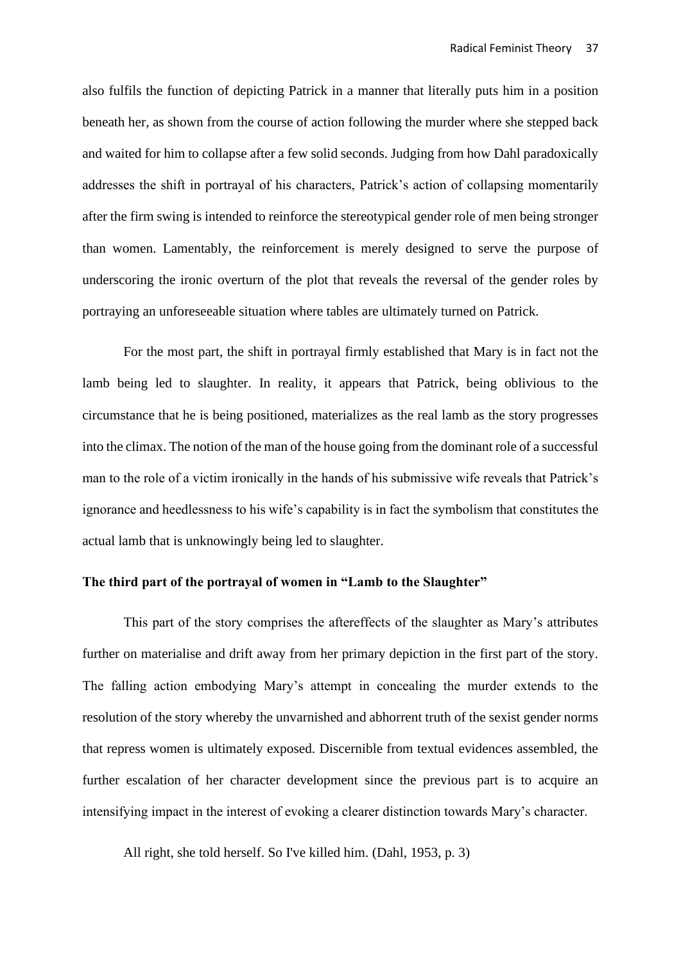also fulfils the function of depicting Patrick in a manner that literally puts him in a position beneath her, as shown from the course of action following the murder where she stepped back and waited for him to collapse after a few solid seconds. Judging from how Dahl paradoxically addresses the shift in portrayal of his characters, Patrick's action of collapsing momentarily after the firm swing is intended to reinforce the stereotypical gender role of men being stronger than women. Lamentably, the reinforcement is merely designed to serve the purpose of underscoring the ironic overturn of the plot that reveals the reversal of the gender roles by portraying an unforeseeable situation where tables are ultimately turned on Patrick.

For the most part, the shift in portrayal firmly established that Mary is in fact not the lamb being led to slaughter. In reality, it appears that Patrick, being oblivious to the circumstance that he is being positioned, materializes as the real lamb as the story progresses into the climax. The notion of the man of the house going from the dominant role of a successful man to the role of a victim ironically in the hands of his submissive wife reveals that Patrick's ignorance and heedlessness to his wife's capability is in fact the symbolism that constitutes the actual lamb that is unknowingly being led to slaughter.

# **The third part of the portrayal of women in "Lamb to the Slaughter"**

This part of the story comprises the aftereffects of the slaughter as Mary's attributes further on materialise and drift away from her primary depiction in the first part of the story. The falling action embodying Mary's attempt in concealing the murder extends to the resolution of the story whereby the unvarnished and abhorrent truth of the sexist gender norms that repress women is ultimately exposed. Discernible from textual evidences assembled, the further escalation of her character development since the previous part is to acquire an intensifying impact in the interest of evoking a clearer distinction towards Mary's character.

All right, she told herself. So I've killed him. (Dahl, 1953, p. 3)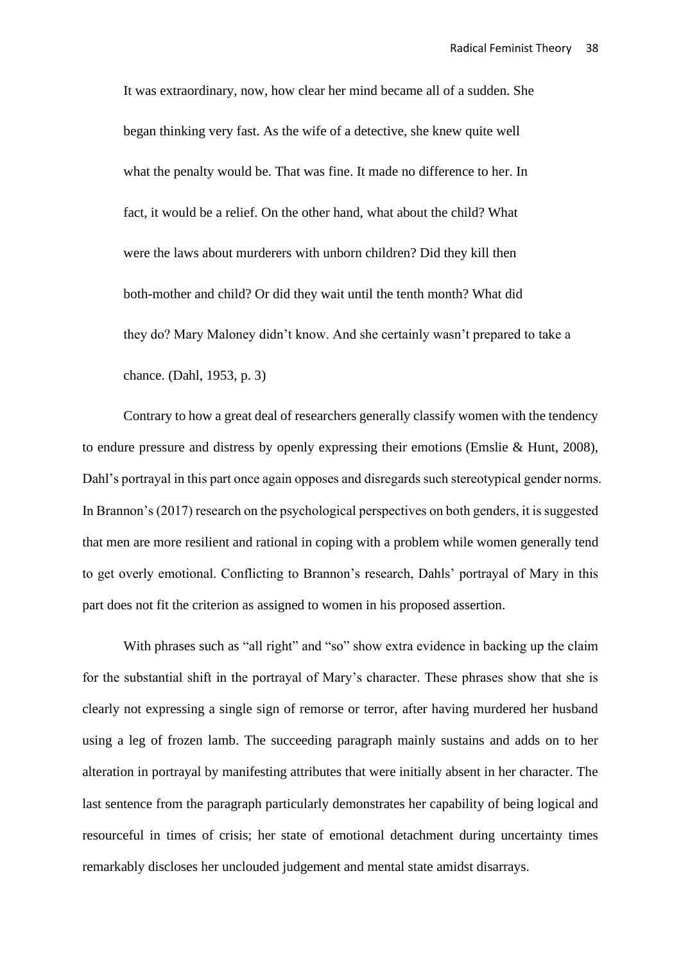It was extraordinary, now, how clear her mind became all of a sudden. She began thinking very fast. As the wife of a detective, she knew quite well what the penalty would be. That was fine. It made no difference to her. In fact, it would be a relief. On the other hand, what about the child? What were the laws about murderers with unborn children? Did they kill then both-mother and child? Or did they wait until the tenth month? What did they do? Mary Maloney didn't know. And she certainly wasn't prepared to take a chance. (Dahl, 1953, p. 3)

Contrary to how a great deal of researchers generally classify women with the tendency to endure pressure and distress by openly expressing their emotions (Emslie & Hunt, 2008), Dahl's portrayal in this part once again opposes and disregards such stereotypical gender norms. In Brannon's (2017) research on the psychological perspectives on both genders, it is suggested that men are more resilient and rational in coping with a problem while women generally tend to get overly emotional. Conflicting to Brannon's research, Dahls' portrayal of Mary in this part does not fit the criterion as assigned to women in his proposed assertion.

With phrases such as "all right" and "so" show extra evidence in backing up the claim for the substantial shift in the portrayal of Mary's character. These phrases show that she is clearly not expressing a single sign of remorse or terror, after having murdered her husband using a leg of frozen lamb. The succeeding paragraph mainly sustains and adds on to her alteration in portrayal by manifesting attributes that were initially absent in her character. The last sentence from the paragraph particularly demonstrates her capability of being logical and resourceful in times of crisis; her state of emotional detachment during uncertainty times remarkably discloses her unclouded judgement and mental state amidst disarrays.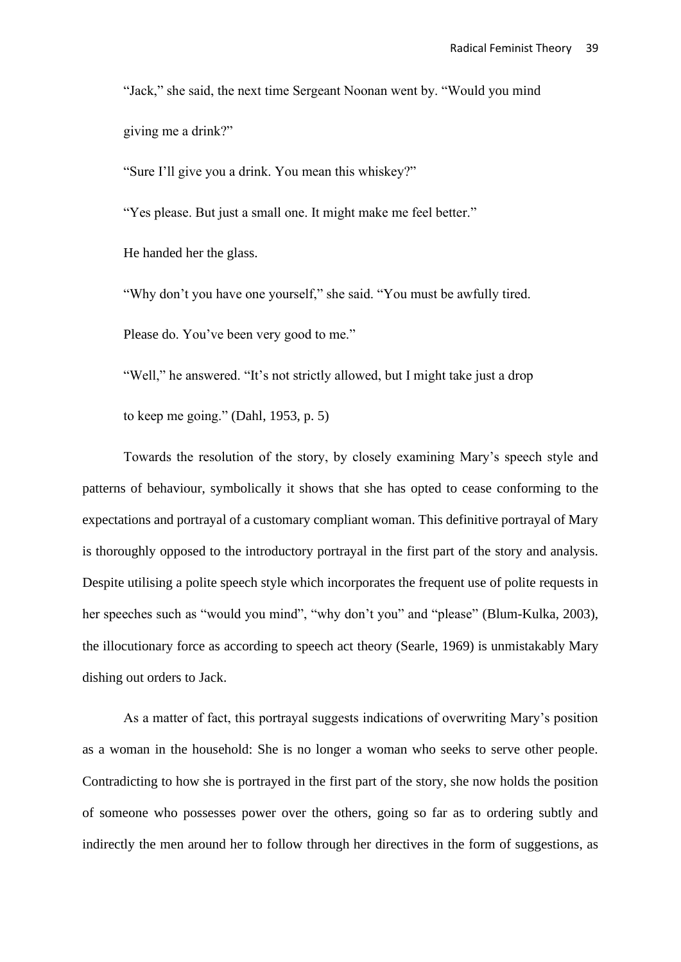"Jack," she said, the next time Sergeant Noonan went by. "Would you mind giving me a drink?"

"Sure I'll give you a drink. You mean this whiskey?"

"Yes please. But just a small one. It might make me feel better."

He handed her the glass.

"Why don't you have one yourself," she said. "You must be awfully tired.

Please do. You've been very good to me."

"Well," he answered. "It's not strictly allowed, but I might take just a drop

to keep me going." (Dahl, 1953, p. 5)

Towards the resolution of the story, by closely examining Mary's speech style and patterns of behaviour, symbolically it shows that she has opted to cease conforming to the expectations and portrayal of a customary compliant woman. This definitive portrayal of Mary is thoroughly opposed to the introductory portrayal in the first part of the story and analysis. Despite utilising a polite speech style which incorporates the frequent use of polite requests in her speeches such as "would you mind", "why don't you" and "please" (Blum-Kulka, 2003), the illocutionary force as according to speech act theory (Searle, 1969) is unmistakably Mary dishing out orders to Jack.

As a matter of fact, this portrayal suggests indications of overwriting Mary's position as a woman in the household: She is no longer a woman who seeks to serve other people. Contradicting to how she is portrayed in the first part of the story, she now holds the position of someone who possesses power over the others, going so far as to ordering subtly and indirectly the men around her to follow through her directives in the form of suggestions, as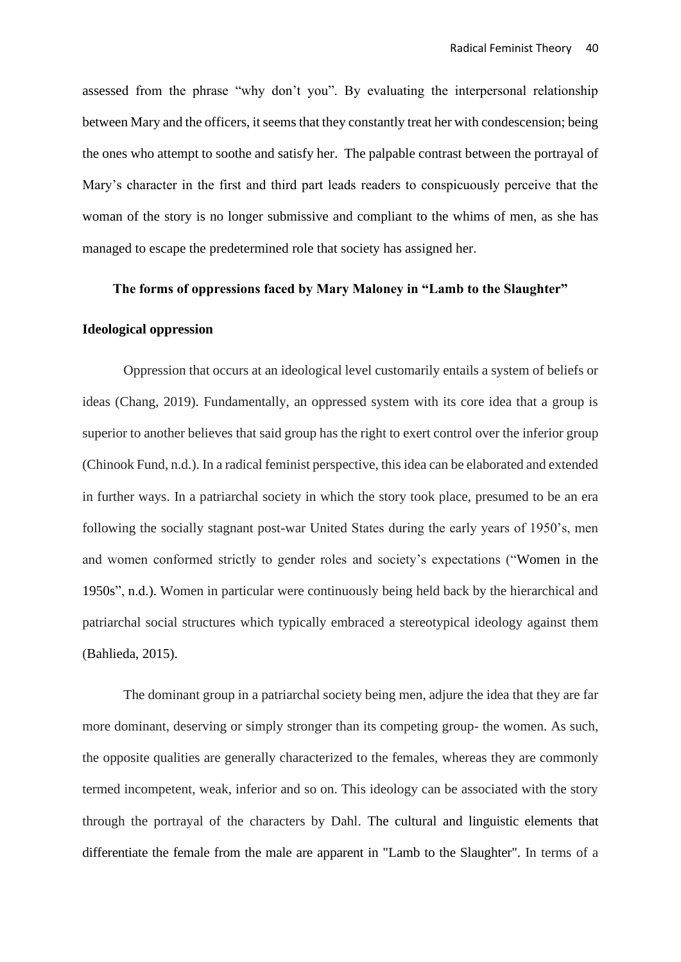assessed from the phrase "why don't you". By evaluating the interpersonal relationship between Mary and the officers, it seems that they constantly treat her with condescension; being the ones who attempt to soothe and satisfy her. The palpable contrast between the portrayal of Mary's character in the first and third part leads readers to conspicuously perceive that the woman of the story is no longer submissive and compliant to the whims of men, as she has managed to escape the predetermined role that society has assigned her.

### **The forms of oppressions faced by Mary Maloney in "Lamb to the Slaughter"**

### **Ideological oppression**

Oppression that occurs at an ideological level customarily entails a system of beliefs or ideas (Chang, 2019). Fundamentally, an oppressed system with its core idea that a group is superior to another believes that said group has the right to exert control over the inferior group (Chinook Fund, n.d.). In a radical feminist perspective, this idea can be elaborated and extended in further ways. In a patriarchal society in which the story took place, presumed to be an era following the socially stagnant post-war United States during the early years of 1950's, men and women conformed strictly to gender roles and society's expectations ("Women in the 1950s", n.d.). Women in particular were continuously being held back by the hierarchical and patriarchal social structures which typically embraced a stereotypical ideology against them (Bahlieda, 2015).

The dominant group in a patriarchal society being men, adjure the idea that they are far more dominant, deserving or simply stronger than its competing group- the women. As such, the opposite qualities are generally characterized to the females, whereas they are commonly termed incompetent, weak, inferior and so on. This ideology can be associated with the story through the portrayal of the characters by Dahl. The cultural and linguistic elements that differentiate the female from the male are apparent in "Lamb to the Slaughter". In terms of a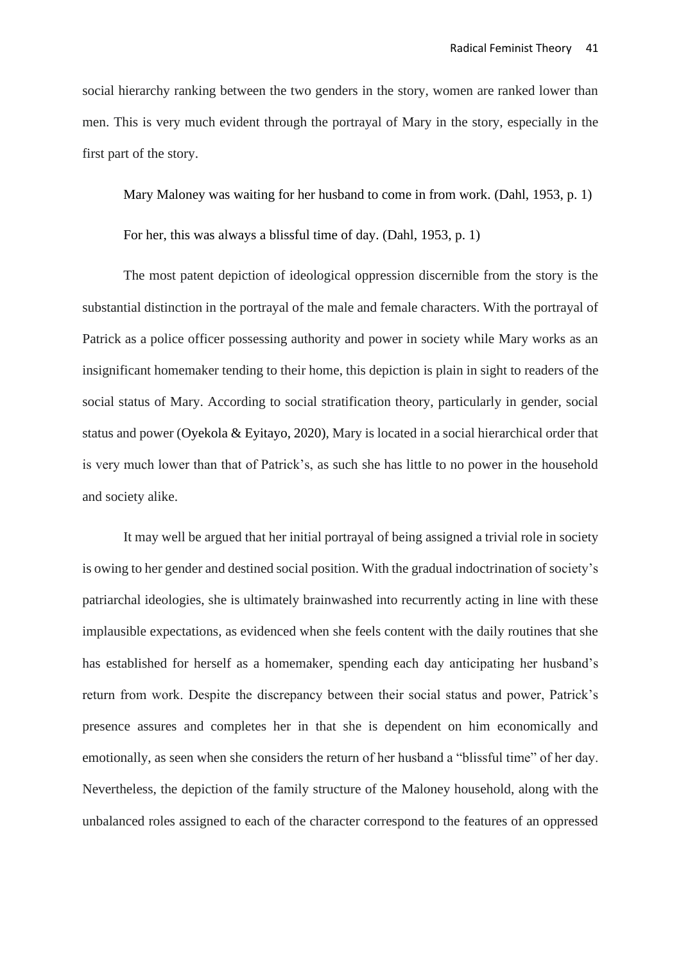social hierarchy ranking between the two genders in the story, women are ranked lower than men. This is very much evident through the portrayal of Mary in the story, especially in the first part of the story.

Mary Maloney was waiting for her husband to come in from work. (Dahl, 1953, p. 1)

For her, this was always a blissful time of day. (Dahl, 1953, p. 1)

The most patent depiction of ideological oppression discernible from the story is the substantial distinction in the portrayal of the male and female characters. With the portrayal of Patrick as a police officer possessing authority and power in society while Mary works as an insignificant homemaker tending to their home, this depiction is plain in sight to readers of the social status of Mary. According to social stratification theory, particularly in gender, social status and power (Oyekola & Eyitayo, 2020), Mary is located in a social hierarchical order that is very much lower than that of Patrick's, as such she has little to no power in the household and society alike.

It may well be argued that her initial portrayal of being assigned a trivial role in society is owing to her gender and destined social position. With the gradual indoctrination of society's patriarchal ideologies, she is ultimately brainwashed into recurrently acting in line with these implausible expectations, as evidenced when she feels content with the daily routines that she has established for herself as a homemaker, spending each day anticipating her husband's return from work. Despite the discrepancy between their social status and power, Patrick's presence assures and completes her in that she is dependent on him economically and emotionally, as seen when she considers the return of her husband a "blissful time" of her day. Nevertheless, the depiction of the family structure of the Maloney household, along with the unbalanced roles assigned to each of the character correspond to the features of an oppressed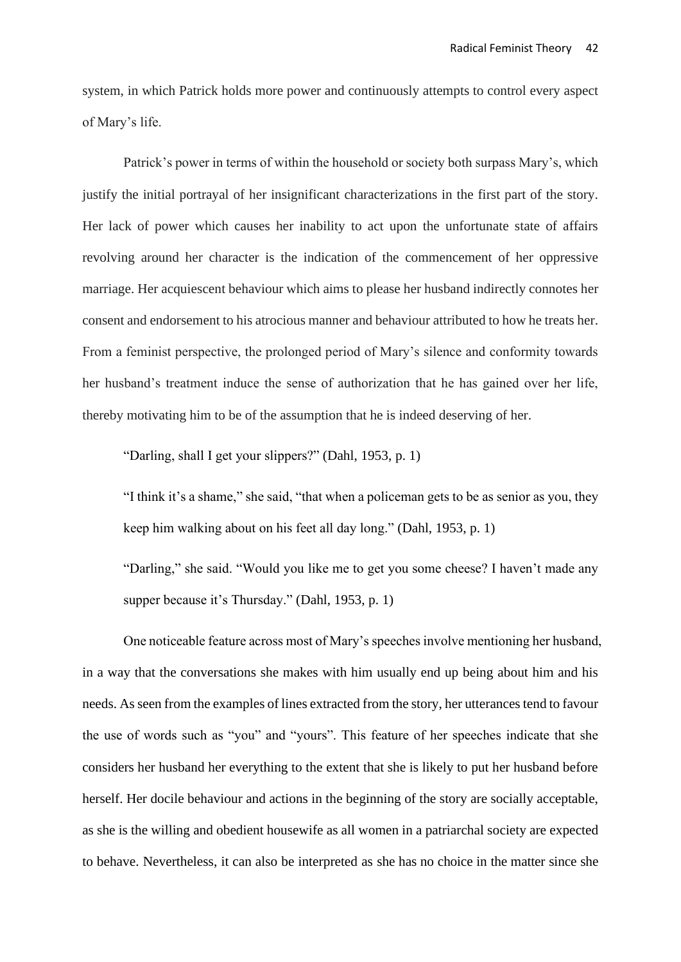system, in which Patrick holds more power and continuously attempts to control every aspect of Mary's life.

Patrick's power in terms of within the household or society both surpass Mary's, which justify the initial portrayal of her insignificant characterizations in the first part of the story. Her lack of power which causes her inability to act upon the unfortunate state of affairs revolving around her character is the indication of the commencement of her oppressive marriage. Her acquiescent behaviour which aims to please her husband indirectly connotes her consent and endorsement to his atrocious manner and behaviour attributed to how he treats her. From a feminist perspective, the prolonged period of Mary's silence and conformity towards her husband's treatment induce the sense of authorization that he has gained over her life, thereby motivating him to be of the assumption that he is indeed deserving of her.

"Darling, shall I get your slippers?" (Dahl, 1953, p. 1)

"I think it's a shame," she said, "that when a policeman gets to be as senior as you, they keep him walking about on his feet all day long." (Dahl, 1953, p. 1)

"Darling," she said. "Would you like me to get you some cheese? I haven't made any supper because it's Thursday." (Dahl, 1953, p. 1)

One noticeable feature across most of Mary's speeches involve mentioning her husband, in a way that the conversations she makes with him usually end up being about him and his needs. As seen from the examples of lines extracted from the story, her utterances tend to favour the use of words such as "you" and "yours". This feature of her speeches indicate that she considers her husband her everything to the extent that she is likely to put her husband before herself. Her docile behaviour and actions in the beginning of the story are socially acceptable, as she is the willing and obedient housewife as all women in a patriarchal society are expected to behave. Nevertheless, it can also be interpreted as she has no choice in the matter since she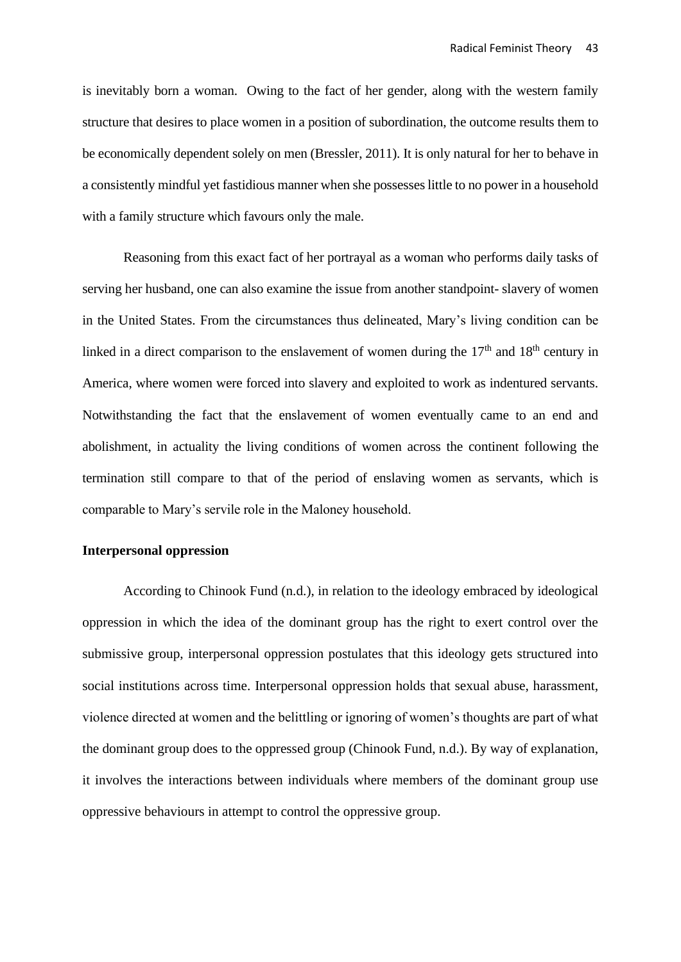is inevitably born a woman. Owing to the fact of her gender, along with the western family structure that desires to place women in a position of subordination, the outcome results them to be economically dependent solely on men (Bressler, 2011). It is only natural for her to behave in a consistently mindful yet fastidious manner when she possesses little to no power in a household with a family structure which favours only the male.

Reasoning from this exact fact of her portrayal as a woman who performs daily tasks of serving her husband, one can also examine the issue from another standpoint- slavery of women in the United States. From the circumstances thus delineated, Mary's living condition can be linked in a direct comparison to the enslavement of women during the  $17<sup>th</sup>$  and  $18<sup>th</sup>$  century in America, where women were forced into slavery and exploited to work as indentured servants. Notwithstanding the fact that the enslavement of women eventually came to an end and abolishment, in actuality the living conditions of women across the continent following the termination still compare to that of the period of enslaving women as servants, which is comparable to Mary's servile role in the Maloney household.

### **Interpersonal oppression**

According to Chinook Fund (n.d.), in relation to the ideology embraced by ideological oppression in which the idea of the dominant group has the right to exert control over the submissive group, interpersonal oppression postulates that this ideology gets structured into social institutions across time. Interpersonal oppression holds that sexual abuse, harassment, violence directed at women and the belittling or ignoring of women's thoughts are part of what the dominant group does to the oppressed group (Chinook Fund, n.d.). By way of explanation, it involves the interactions between individuals where members of the dominant group use oppressive behaviours in attempt to control the oppressive group.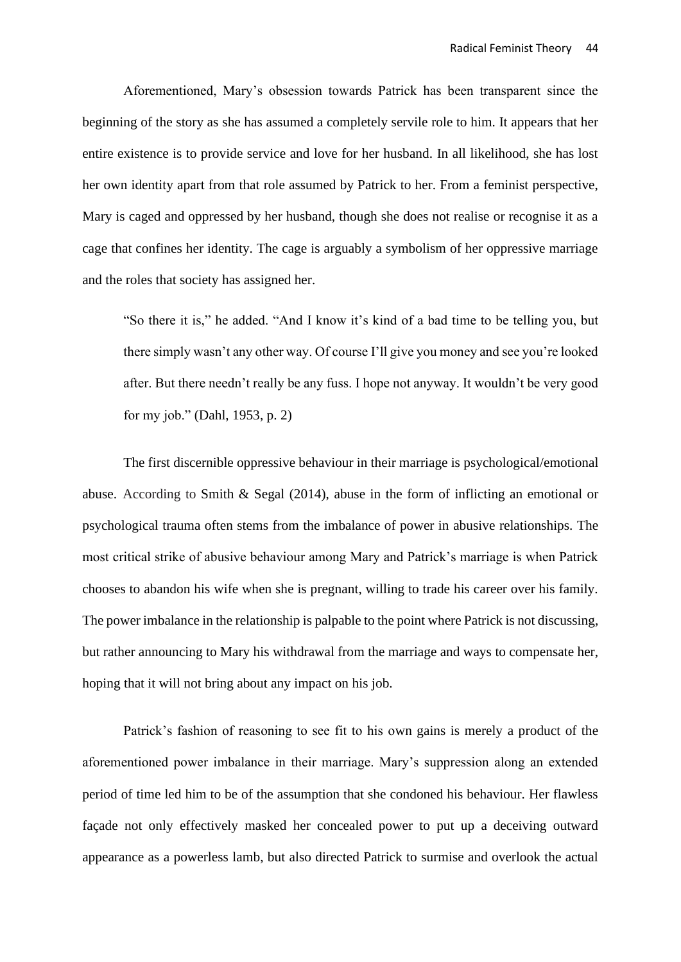Aforementioned, Mary's obsession towards Patrick has been transparent since the beginning of the story as she has assumed a completely servile role to him. It appears that her entire existence is to provide service and love for her husband. In all likelihood, she has lost her own identity apart from that role assumed by Patrick to her. From a feminist perspective, Mary is caged and oppressed by her husband, though she does not realise or recognise it as a cage that confines her identity. The cage is arguably a symbolism of her oppressive marriage and the roles that society has assigned her.

"So there it is," he added. "And I know it's kind of a bad time to be telling you, but there simply wasn't any other way. Of course I'll give you money and see you're looked after. But there needn't really be any fuss. I hope not anyway. It wouldn't be very good for my job." (Dahl, 1953, p. 2)

The first discernible oppressive behaviour in their marriage is psychological/emotional abuse. According to Smith & Segal (2014), abuse in the form of inflicting an emotional or psychological trauma often stems from the imbalance of power in abusive relationships. The most critical strike of abusive behaviour among Mary and Patrick's marriage is when Patrick chooses to abandon his wife when she is pregnant, willing to trade his career over his family. The power imbalance in the relationship is palpable to the point where Patrick is not discussing, but rather announcing to Mary his withdrawal from the marriage and ways to compensate her, hoping that it will not bring about any impact on his job.

Patrick's fashion of reasoning to see fit to his own gains is merely a product of the aforementioned power imbalance in their marriage. Mary's suppression along an extended period of time led him to be of the assumption that she condoned his behaviour. Her flawless façade not only effectively masked her concealed power to put up a deceiving outward appearance as a powerless lamb, but also directed Patrick to surmise and overlook the actual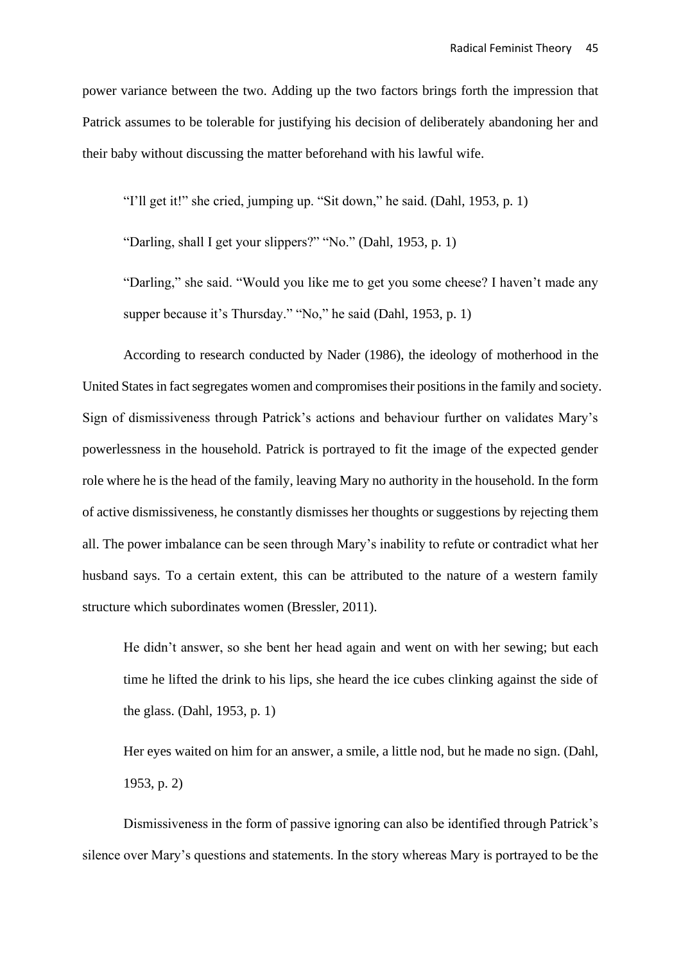power variance between the two. Adding up the two factors brings forth the impression that Patrick assumes to be tolerable for justifying his decision of deliberately abandoning her and their baby without discussing the matter beforehand with his lawful wife.

"I'll get it!" she cried, jumping up. "Sit down," he said. (Dahl, 1953, p. 1)

"Darling, shall I get your slippers?" "No." (Dahl, 1953, p. 1)

"Darling," she said. "Would you like me to get you some cheese? I haven't made any supper because it's Thursday." "No," he said (Dahl, 1953, p. 1)

According to research conducted by Nader (1986), the ideology of motherhood in the United States in fact segregates women and compromises their positions in the family and society. Sign of dismissiveness through Patrick's actions and behaviour further on validates Mary's powerlessness in the household. Patrick is portrayed to fit the image of the expected gender role where he is the head of the family, leaving Mary no authority in the household. In the form of active dismissiveness, he constantly dismisses her thoughts or suggestions by rejecting them all. The power imbalance can be seen through Mary's inability to refute or contradict what her husband says. To a certain extent, this can be attributed to the nature of a western family structure which subordinates women (Bressler, 2011).

He didn't answer, so she bent her head again and went on with her sewing; but each time he lifted the drink to his lips, she heard the ice cubes clinking against the side of the glass. (Dahl, 1953, p. 1)

Her eyes waited on him for an answer, a smile, a little nod, but he made no sign. (Dahl, 1953, p. 2)

Dismissiveness in the form of passive ignoring can also be identified through Patrick's silence over Mary's questions and statements. In the story whereas Mary is portrayed to be the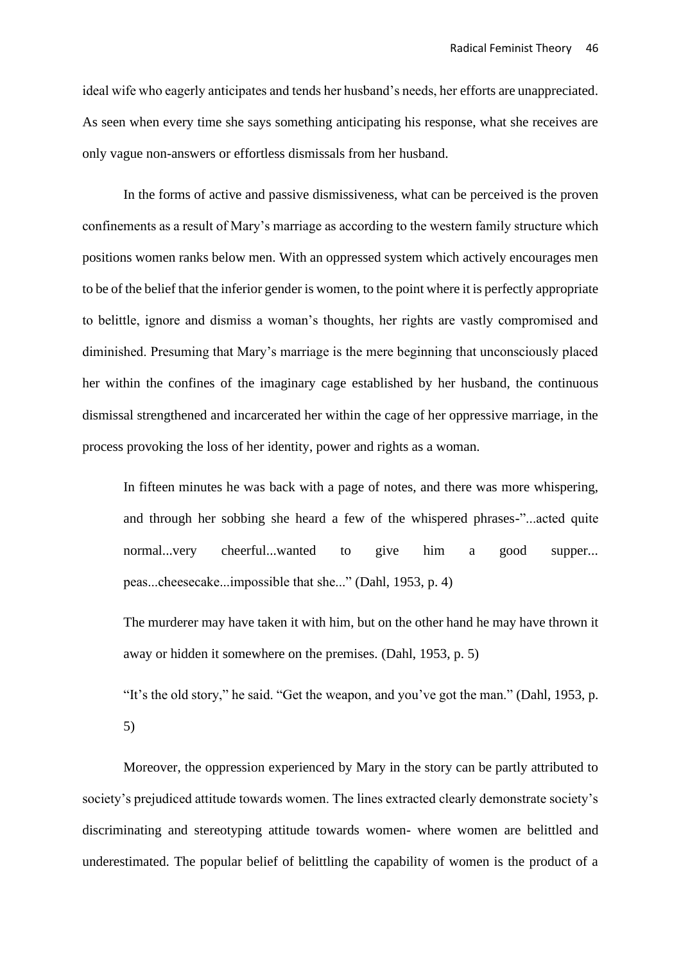ideal wife who eagerly anticipates and tends her husband's needs, her efforts are unappreciated. As seen when every time she says something anticipating his response, what she receives are only vague non-answers or effortless dismissals from her husband.

In the forms of active and passive dismissiveness, what can be perceived is the proven confinements as a result of Mary's marriage as according to the western family structure which positions women ranks below men. With an oppressed system which actively encourages men to be of the belief that the inferior gender is women, to the point where it is perfectly appropriate to belittle, ignore and dismiss a woman's thoughts, her rights are vastly compromised and diminished. Presuming that Mary's marriage is the mere beginning that unconsciously placed her within the confines of the imaginary cage established by her husband, the continuous dismissal strengthened and incarcerated her within the cage of her oppressive marriage, in the process provoking the loss of her identity, power and rights as a woman.

In fifteen minutes he was back with a page of notes, and there was more whispering, and through her sobbing she heard a few of the whispered phrases-"...acted quite normal...very cheerful...wanted to give him a good supper... peas...cheesecake...impossible that she..." (Dahl, 1953, p. 4)

The murderer may have taken it with him, but on the other hand he may have thrown it away or hidden it somewhere on the premises. (Dahl, 1953, p. 5)

"It's the old story," he said. "Get the weapon, and you've got the man." (Dahl, 1953, p. 5)

Moreover, the oppression experienced by Mary in the story can be partly attributed to society's prejudiced attitude towards women. The lines extracted clearly demonstrate society's discriminating and stereotyping attitude towards women- where women are belittled and underestimated. The popular belief of belittling the capability of women is the product of a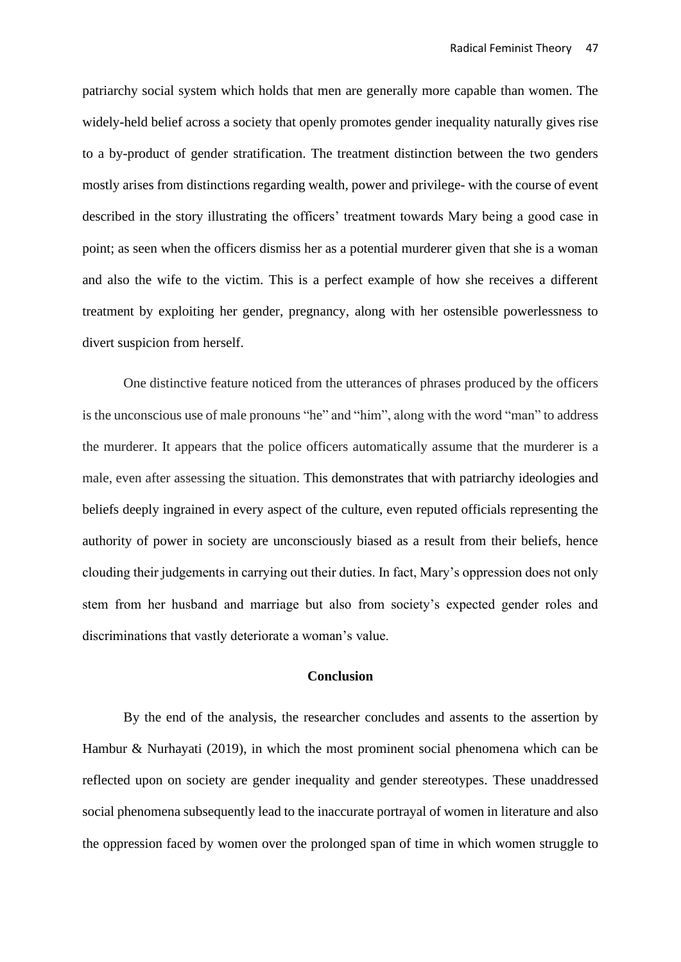patriarchy social system which holds that men are generally more capable than women. The widely-held belief across a society that openly promotes gender inequality naturally gives rise to a by-product of gender stratification. The treatment distinction between the two genders mostly arises from distinctions regarding wealth, power and privilege- with the course of event described in the story illustrating the officers' treatment towards Mary being a good case in point; as seen when the officers dismiss her as a potential murderer given that she is a woman and also the wife to the victim. This is a perfect example of how she receives a different treatment by exploiting her gender, pregnancy, along with her ostensible powerlessness to divert suspicion from herself.

One distinctive feature noticed from the utterances of phrases produced by the officers is the unconscious use of male pronouns "he" and "him", along with the word "man" to address the murderer. It appears that the police officers automatically assume that the murderer is a male, even after assessing the situation. This demonstrates that with patriarchy ideologies and beliefs deeply ingrained in every aspect of the culture, even reputed officials representing the authority of power in society are unconsciously biased as a result from their beliefs, hence clouding their judgements in carrying out their duties. In fact, Mary's oppression does not only stem from her husband and marriage but also from society's expected gender roles and discriminations that vastly deteriorate a woman's value.

### **Conclusion**

By the end of the analysis, the researcher concludes and assents to the assertion by Hambur & Nurhayati (2019), in which the most prominent social phenomena which can be reflected upon on society are gender inequality and gender stereotypes. These unaddressed social phenomena subsequently lead to the inaccurate portrayal of women in literature and also the oppression faced by women over the prolonged span of time in which women struggle to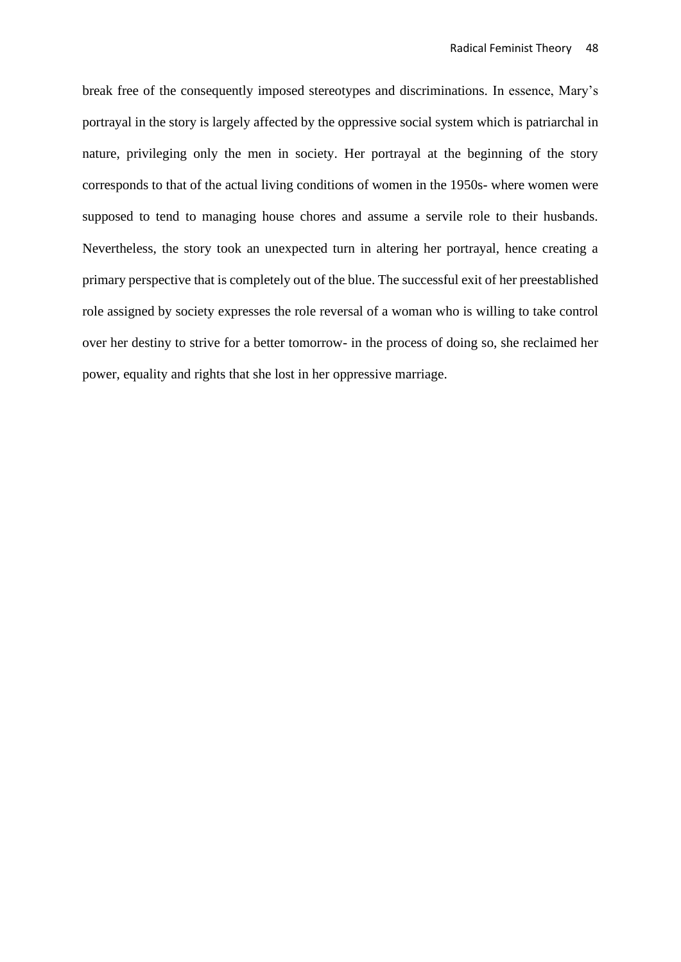break free of the consequently imposed stereotypes and discriminations. In essence, Mary's portrayal in the story is largely affected by the oppressive social system which is patriarchal in nature, privileging only the men in society. Her portrayal at the beginning of the story corresponds to that of the actual living conditions of women in the 1950s- where women were supposed to tend to managing house chores and assume a servile role to their husbands. Nevertheless, the story took an unexpected turn in altering her portrayal, hence creating a primary perspective that is completely out of the blue. The successful exit of her preestablished role assigned by society expresses the role reversal of a woman who is willing to take control over her destiny to strive for a better tomorrow- in the process of doing so, she reclaimed her power, equality and rights that she lost in her oppressive marriage.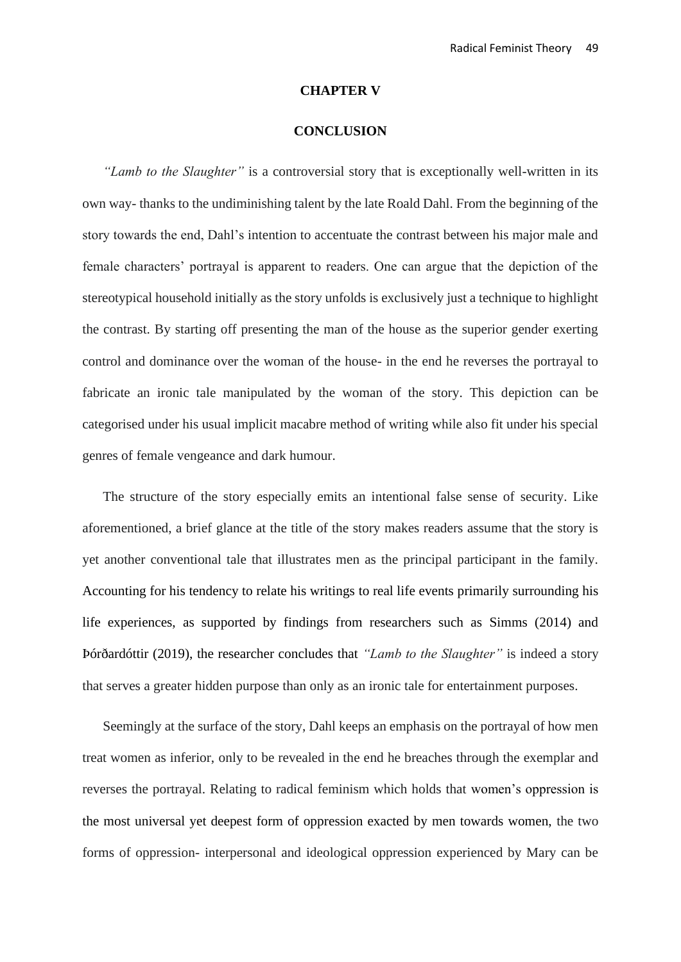#### **CHAPTER V**

# **CONCLUSION**

*"Lamb to the Slaughter"* is a controversial story that is exceptionally well-written in its own way- thanks to the undiminishing talent by the late Roald Dahl. From the beginning of the story towards the end, Dahl's intention to accentuate the contrast between his major male and female characters' portrayal is apparent to readers. One can argue that the depiction of the stereotypical household initially as the story unfolds is exclusively just a technique to highlight the contrast. By starting off presenting the man of the house as the superior gender exerting control and dominance over the woman of the house- in the end he reverses the portrayal to fabricate an ironic tale manipulated by the woman of the story. This depiction can be categorised under his usual implicit macabre method of writing while also fit under his special genres of female vengeance and dark humour.

The structure of the story especially emits an intentional false sense of security. Like aforementioned, a brief glance at the title of the story makes readers assume that the story is yet another conventional tale that illustrates men as the principal participant in the family. Accounting for his tendency to relate his writings to real life events primarily surrounding his life experiences, as supported by findings from researchers such as Simms (2014) and Þórðardóttir (2019), the researcher concludes that *"Lamb to the Slaughter"* is indeed a story that serves a greater hidden purpose than only as an ironic tale for entertainment purposes.

Seemingly at the surface of the story, Dahl keeps an emphasis on the portrayal of how men treat women as inferior, only to be revealed in the end he breaches through the exemplar and reverses the portrayal. Relating to radical feminism which holds that women's oppression is the most universal yet deepest form of oppression exacted by men towards women, the two forms of oppression- interpersonal and ideological oppression experienced by Mary can be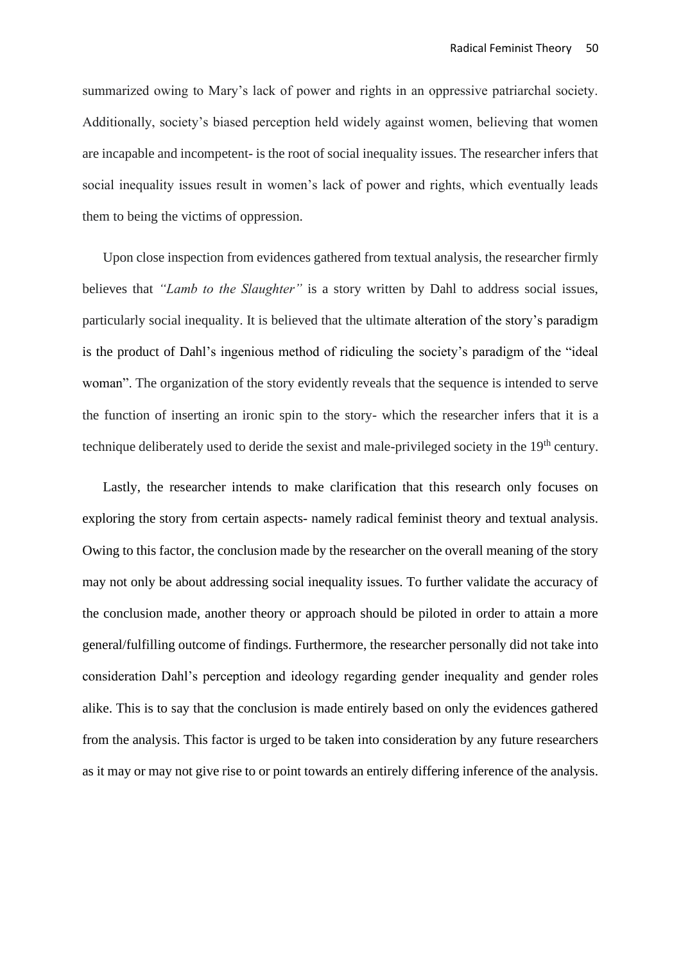summarized owing to Mary's lack of power and rights in an oppressive patriarchal society. Additionally, society's biased perception held widely against women, believing that women are incapable and incompetent- is the root of social inequality issues. The researcher infers that social inequality issues result in women's lack of power and rights, which eventually leads them to being the victims of oppression.

Upon close inspection from evidences gathered from textual analysis, the researcher firmly believes that *"Lamb to the Slaughter"* is a story written by Dahl to address social issues, particularly social inequality. It is believed that the ultimate alteration of the story's paradigm is the product of Dahl's ingenious method of ridiculing the society's paradigm of the "ideal woman". The organization of the story evidently reveals that the sequence is intended to serve the function of inserting an ironic spin to the story- which the researcher infers that it is a technique deliberately used to deride the sexist and male-privileged society in the 19<sup>th</sup> century.

Lastly, the researcher intends to make clarification that this research only focuses on exploring the story from certain aspects- namely radical feminist theory and textual analysis. Owing to this factor, the conclusion made by the researcher on the overall meaning of the story may not only be about addressing social inequality issues. To further validate the accuracy of the conclusion made, another theory or approach should be piloted in order to attain a more general/fulfilling outcome of findings. Furthermore, the researcher personally did not take into consideration Dahl's perception and ideology regarding gender inequality and gender roles alike. This is to say that the conclusion is made entirely based on only the evidences gathered from the analysis. This factor is urged to be taken into consideration by any future researchers as it may or may not give rise to or point towards an entirely differing inference of the analysis.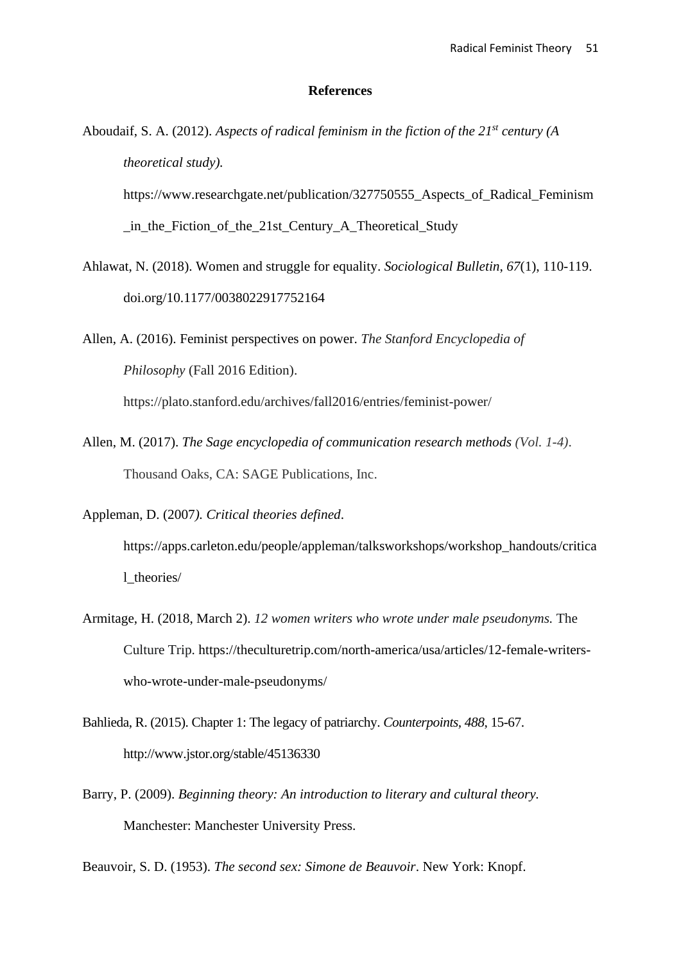### **References**

Aboudaif, S. A. (2012). *Aspects of radical feminism in the fiction of the 21st century (A theoretical study).* https://www.researchgate.net/publication/327750555\_Aspects\_of\_Radical\_Feminism

\_in\_the\_Fiction\_of\_the\_21st\_Century\_A\_Theoretical\_Study

Ahlawat, N. (2018). Women and struggle for equality. *Sociological Bulletin*, *67*(1), 110-119. doi.org/10.1177/0038022917752164

Allen, A. (2016). Feminist perspectives on power. *The Stanford Encyclopedia of Philosophy* (Fall 2016 Edition). https://plato.stanford.edu/archives/fall2016/entries/feminist-power/

Allen, M. (2017). *The Sage encyclopedia of communication research methods (Vol. 1-4)*. Thousand Oaks, CA: SAGE Publications, Inc.

Appleman, D. (2007*). Critical theories defined*.

https://apps.carleton.edu/people/appleman/talksworkshops/workshop\_handouts/critica l\_theories/

- Armitage, H. (2018, March 2). *12 women writers who wrote under male pseudonyms.* The Culture Trip. https://theculturetrip.com/north-america/usa/articles/12-female-writerswho-wrote-under-male-pseudonyms/
- Bahlieda, R. (2015). Chapter 1: The legacy of patriarchy. *Counterpoints, 488*, 15-67. http://www.jstor.org/stable/45136330
- Barry, P. (2009). *Beginning theory: An introduction to literary and cultural theory.* Manchester: Manchester University Press.

Beauvoir, S. D. (1953). *The second sex: Simone de Beauvoir*. New York: Knopf.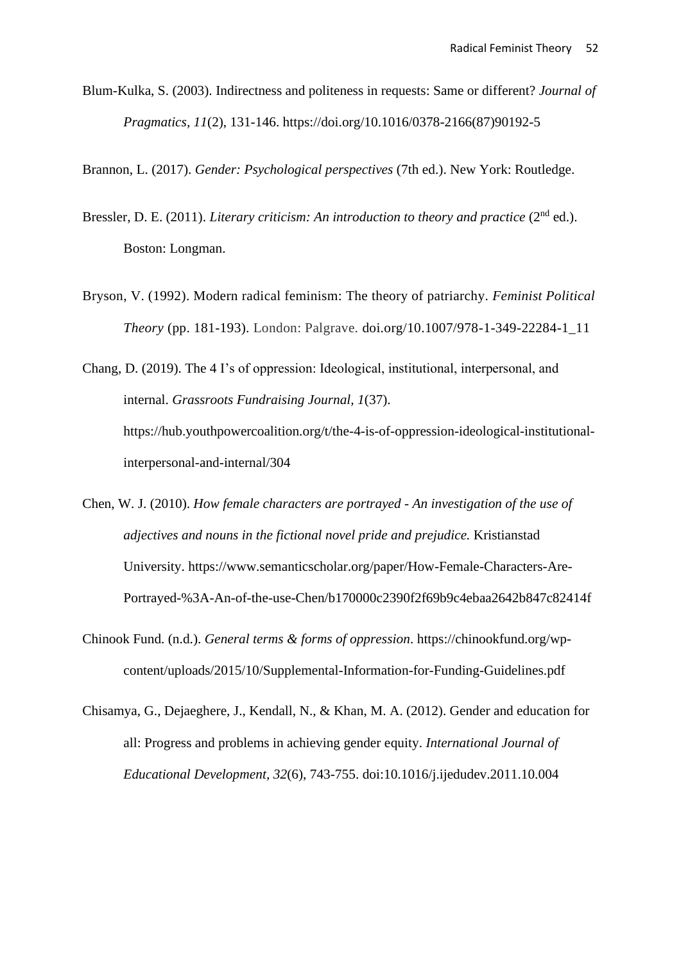Blum-Kulka, S. (2003). Indirectness and politeness in requests: Same or different? *Journal of Pragmatics, 11*(2), 131-146. https://doi.org/10.1016/0378-2166(87)90192-5

Brannon, L. (2017). *Gender: Psychological perspectives* (7th ed.). New York: Routledge.

- Bressler, D. E. (2011). *Literary criticism: An introduction to theory and practice* (2<sup>nd</sup> ed.). Boston: Longman.
- Bryson, V. (1992). Modern radical feminism: The theory of patriarchy. *Feminist Political Theory* (pp. 181-193). London: Palgrave. doi.org/10.1007/978-1-349-22284-1\_11

Chang, D. (2019). The 4 I's of oppression: Ideological, institutional, interpersonal, and internal. *Grassroots Fundraising Journal, 1*(37). https://hub.youthpowercoalition.org/t/the-4-is-of-oppression-ideological-institutionalinterpersonal-and-internal/304

- Chen, W. J. (2010). *How female characters are portrayed - An investigation of the use of adjectives and nouns in the fictional novel pride and prejudice.* Kristianstad University. https://www.semanticscholar.org/paper/How-Female-Characters-Are-Portrayed-%3A-An-of-the-use-Chen/b170000c2390f2f69b9c4ebaa2642b847c82414f
- Chinook Fund. (n.d.). *General terms & forms of oppression*. https://chinookfund.org/wpcontent/uploads/2015/10/Supplemental-Information-for-Funding-Guidelines.pdf
- Chisamya, G., Dejaeghere, J., Kendall, N., & Khan, M. A. (2012). Gender and education for all: Progress and problems in achieving gender equity. *International Journal of Educational Development, 32*(6), 743-755. doi:10.1016/j.ijedudev.2011.10.004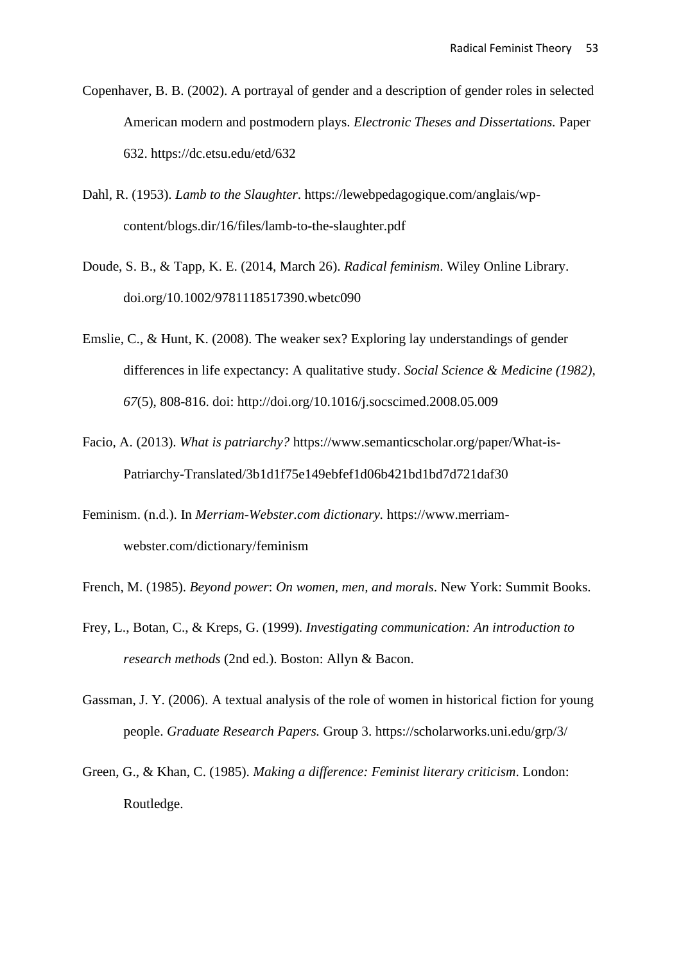- Copenhaver, B. B. (2002). A portrayal of gender and a description of gender roles in selected American modern and postmodern plays. *Electronic Theses and Dissertations.* Paper 632. https://dc.etsu.edu/etd/632
- Dahl, R. (1953). *Lamb to the Slaughter*. https://lewebpedagogique.com/anglais/wpcontent/blogs.dir/16/files/lamb-to-the-slaughter.pdf
- Doude, S. B., & Tapp, K. E. (2014, March 26). *Radical feminism*. Wiley Online Library. [doi.org/10.1002/9781118517390.wbetc090](https://doi.org/10.1002/9781118517390.wbetc090)
- Emslie, C., & Hunt, K. (2008). The weaker sex? Exploring lay understandings of gender differences in life expectancy: A qualitative study. *Social Science & Medicine (1982), 67*(5), 808-816. doi: http://doi.org/10.1016/j.socscimed.2008.05.009
- Facio, A. (2013). *What is patriarchy?* https://www.semanticscholar.org/paper/What-is-Patriarchy-Translated/3b1d1f75e149ebfef1d06b421bd1bd7d721daf30
- Feminism. (n.d.). In *Merriam-Webster.com dictionary.* https://www.merriamwebster.com/dictionary/feminism

French, M. (1985). *Beyond power*: *On women, men, and morals*. New York: Summit Books.

- Frey, L., Botan, C., & Kreps, G. (1999). *Investigating communication: An introduction to research methods* (2nd ed.). Boston: Allyn & Bacon.
- Gassman, J. Y. (2006). A textual analysis of the role of women in historical fiction for young people. *Graduate Research Papers.* Group 3. https://scholarworks.uni.edu/grp/3/
- Green, G., & Khan, C. (1985). *Making a difference: Feminist literary criticism*. London: Routledge.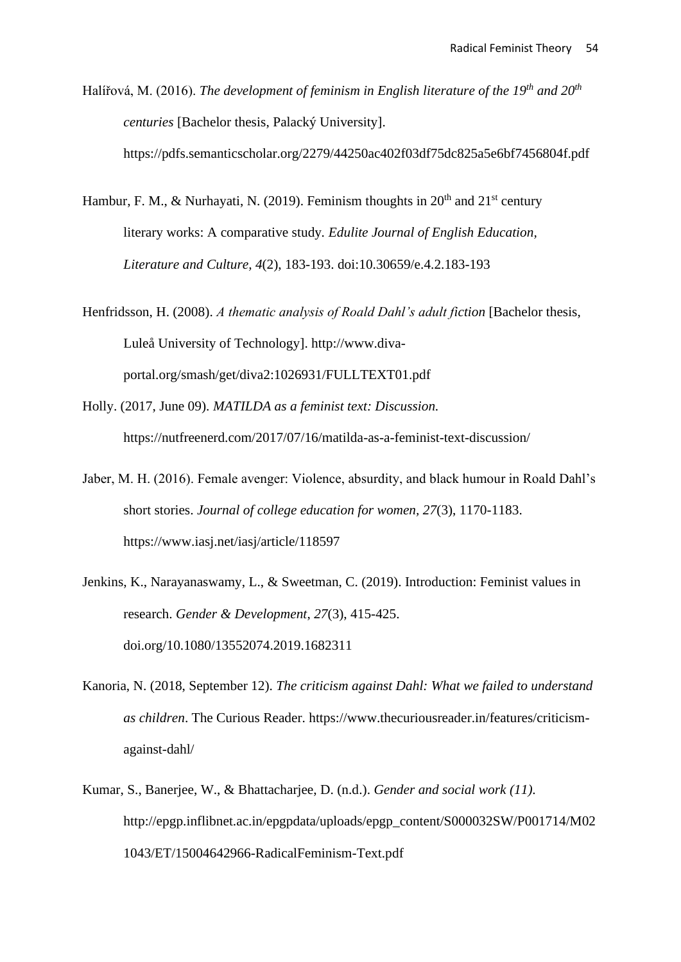Halířová, M. (2016). *The development of feminism in English literature of the 19th and 20th centuries* [Bachelor thesis, Palacký University]. https://pdfs.semanticscholar.org/2279/44250ac402f03df75dc825a5e6bf7456804f.pdf

- Hambur, F. M., & Nurhayati, N. (2019). Feminism thoughts in  $20<sup>th</sup>$  and  $21<sup>st</sup>$  century literary works: A comparative study*. Edulite Journal of English Education, Literature and Culture, 4*(2), 183-193. doi:10.30659/e.4.2.183-193
- Henfridsson, H. (2008). *A thematic analysis of Roald Dahl's adult fiction* [Bachelor thesis, Luleå University of Technology]. http://www.divaportal.org/smash/get/diva2:1026931/FULLTEXT01.pdf
- Holly. (2017, June 09). *MATILDA as a feminist text: Discussion.* https://nutfreenerd.com/2017/07/16/matilda-as-a-feminist-text-discussion/
- Jaber, M. H. (2016). Female avenger: Violence, absurdity, and black humour in Roald Dahl's short stories. *Journal of college education for women, 27*(3), 1170-1183. https://www.iasj.net/iasj/article/118597
- Jenkins, K., Narayanaswamy, L., & Sweetman, C. (2019). Introduction: Feminist values in research. *Gender & Development*, *27*(3), 415-425. doi.org/10.1080/13552074.2019.1682311
- Kanoria, N. (2018, September 12). *The criticism against Dahl: What we failed to understand as children*. The Curious Reader. https://www.thecuriousreader.in/features/criticismagainst-dahl/
- Kumar, S., Banerjee, W., & Bhattacharjee, D. (n.d.). *Gender and social work (11)*. http://epgp.inflibnet.ac.in/epgpdata/uploads/epgp\_content/S000032SW/P001714/M02 1043/ET/15004642966-RadicalFeminism-Text.pdf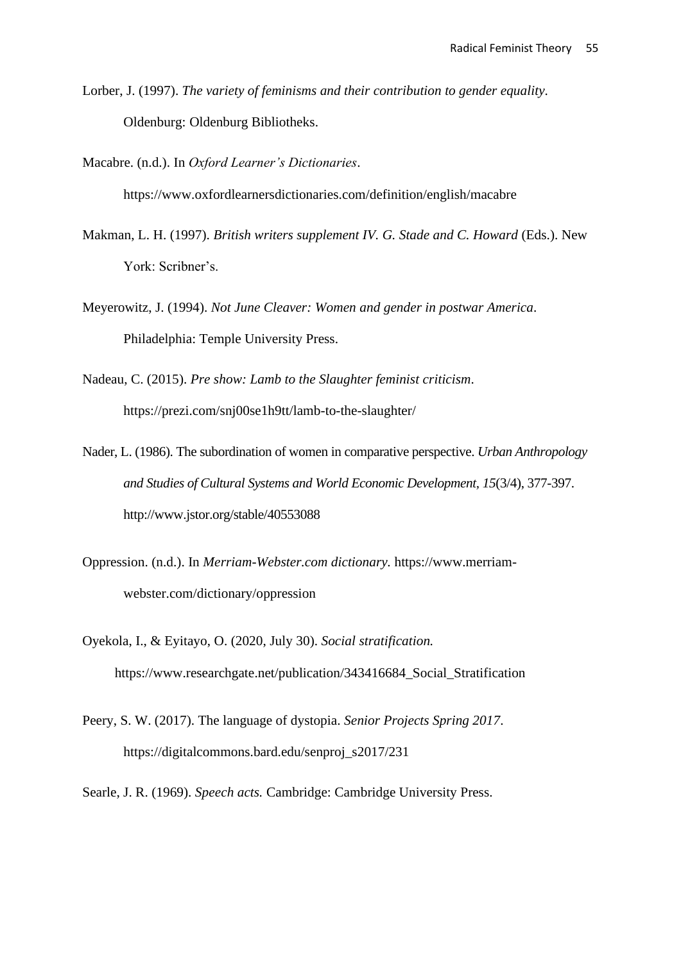Lorber, J. (1997). *The variety of feminisms and their contribution to gender equality*. Oldenburg: Oldenburg Bibliotheks.

Macabre. (n.d.). In *Oxford Learner's Dictionaries*.

https://www.oxfordlearnersdictionaries.com/definition/english/macabre

- Makman, L. H. (1997). *British writers supplement IV. G. Stade and C. Howard* (Eds.). New York: Scribner's.
- Meyerowitz, J. (1994). *Not June Cleaver: Women and gender in postwar America*. Philadelphia: Temple University Press.
- Nadeau, C. (2015). *Pre show: Lamb to the Slaughter feminist criticism*. https://prezi.com/snj00se1h9tt/lamb-to-the-slaughter/
- Nader, L. (1986). The subordination of women in comparative perspective. *Urban Anthropology and Studies of Cultural Systems and World Economic Development, 15*(3/4), 377-397. http://www.jstor.org/stable/40553088
- Oppression. (n.d.). In *Merriam-Webster.com dictionary.* https://www.merriamwebster.com/dictionary/oppression
- Oyekola, I., & Eyitayo, O. (2020, July 30). *Social stratification.* https://www.researchgate.net/publication/343416684\_Social\_Stratification
- Peery, S. W. (2017). The language of dystopia. *Senior Projects Spring 2017*. https://digitalcommons.bard.edu/senproj\_s2017/231

Searle, J. R. (1969). *Speech acts.* Cambridge: Cambridge University Press.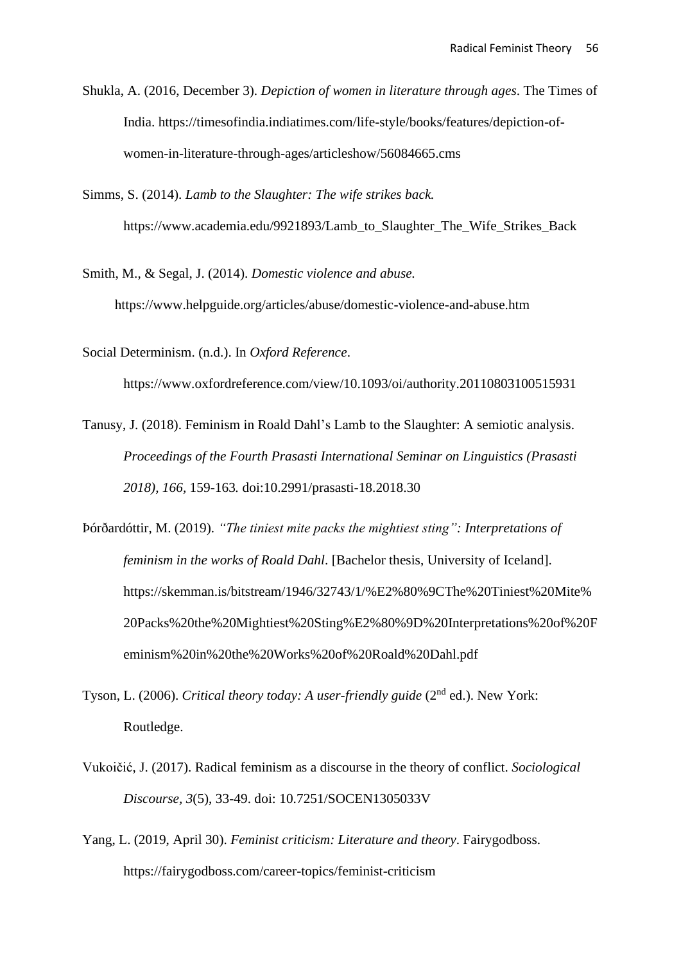- Shukla, A. (2016, December 3). *Depiction of women in literature through ages*. The Times of India. https://timesofindia.indiatimes.com/life-style/books/features/depiction-ofwomen-in-literature-through-ages/articleshow/56084665.cms
- Simms, S. (2014). *Lamb to the Slaughter: The wife strikes back.* https://www.academia.edu/9921893/Lamb\_to\_Slaughter\_The\_Wife\_Strikes\_Back

Smith, M., & Segal, J. (2014). *Domestic violence and abuse.* https://www.helpguide.org/articles/abuse/domestic-violence-and-abuse.htm

Social Determinism. (n.d.). In *Oxford Reference*.

https://www.oxfordreference.com/view/10.1093/oi/authority.20110803100515931

- Tanusy, J. (2018). Feminism in Roald Dahl's Lamb to the Slaughter: A semiotic analysis. *Proceedings of the Fourth Prasasti International Seminar on Linguistics (Prasasti 2018), 166,* 159-163*.* doi:10.2991/prasasti-18.2018.30
- Þórðardóttir, M. (2019). *"The tiniest mite packs the mightiest sting": Interpretations of feminism in the works of Roald Dahl*. [Bachelor thesis, University of Iceland]. https://skemman.is/bitstream/1946/32743/1/%E2%80%9CThe%20Tiniest%20Mite% 20Packs%20the%20Mightiest%20Sting%E2%80%9D%20Interpretations%20of%20F eminism%20in%20the%20Works%20of%20Roald%20Dahl.pdf
- Tyson, L. (2006). *Critical theory today: A user-friendly guide* (2<sup>nd</sup> ed.). New York: Routledge.
- [Vukoičić,](https://www.researchgate.net/profile/Jelena_Vukoicic2) J. (2017). Radical feminism as a discourse in the theory of conflict. *Sociological Discourse, 3*(5), 33-49. doi: 10.7251/SOCEN1305033V
- Yang, L. (2019, April 30). *Feminist criticism: Literature and theory*. Fairygodboss. https://fairygodboss.com/career-topics/feminist-criticism